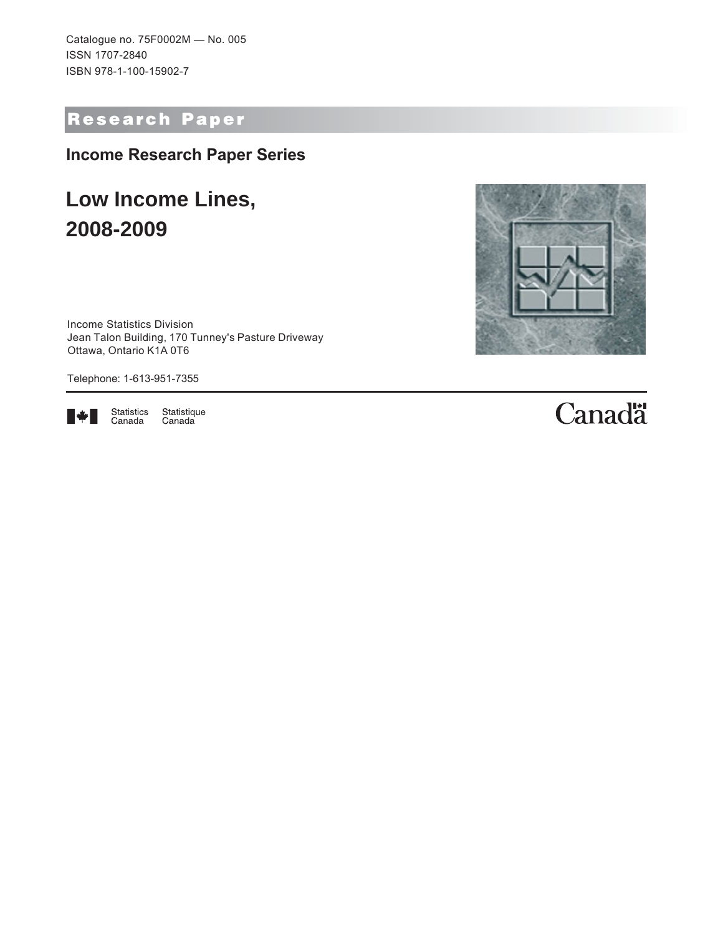Catalogue no. 75F0002M — No. 005 ISSN 1707-2840 ISBN 978-1-100-15902-7

# Research Paper

**Income Research Paper Series**

# **Low Income Lines, 2008-2009**

Income Statistics Division Jean Talon Building, 170 Tunney's Pasture Driveway Ottawa, Ontario K1A 0T6

Telephone: 1-613-951-7355



Statistics<br>Canada Statistique<br>Canada

# **Canadä**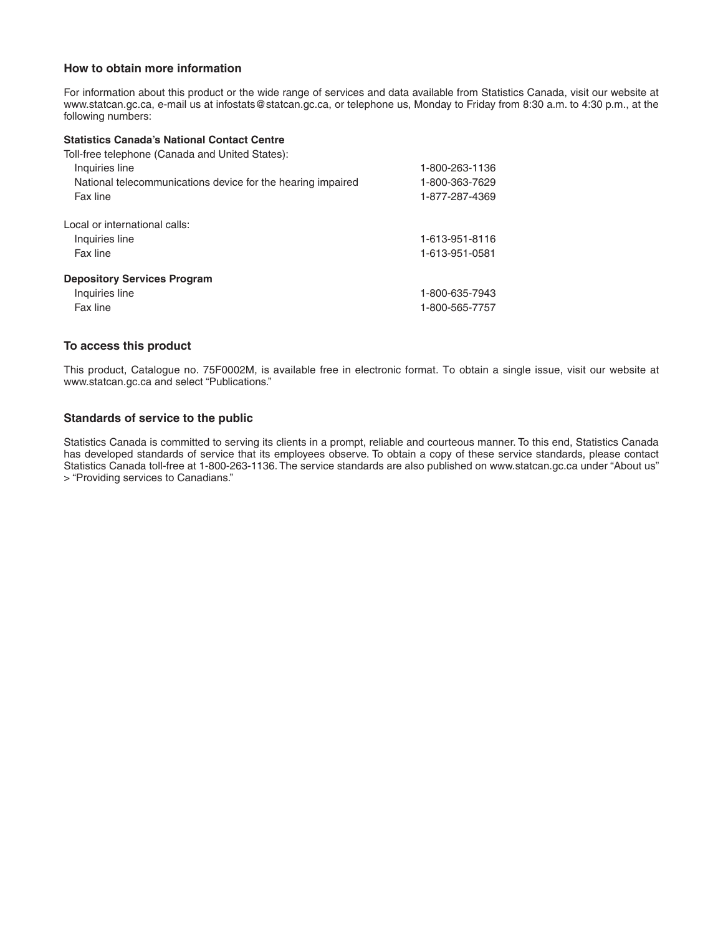#### **How to obtain more information**

For information about this product or the wide range of services and data available from Statistics Canada, visit our website at www.statcan.gc.ca, e-mail us at infostats@statcan.gc.ca, or telephone us, Monday to Friday from 8:30 a.m. to 4:30 p.m., at the following numbers:

#### **Statistics Canada's National Contact Centre**

| Toll-free telephone (Canada and United States):             |                |
|-------------------------------------------------------------|----------------|
| Inquiries line                                              | 1-800-263-1136 |
| National telecommunications device for the hearing impaired | 1-800-363-7629 |
| Fax line                                                    | 1-877-287-4369 |
| Local or international calls:                               |                |
| Inquiries line                                              | 1-613-951-8116 |
| Fax line                                                    | 1-613-951-0581 |
| <b>Depository Services Program</b>                          |                |
| Inquiries line                                              | 1-800-635-7943 |
| Fax line                                                    | 1-800-565-7757 |

#### **To access this product**

This product, Catalogue no. 75F0002M, is available free in electronic format. To obtain a single issue, visit our website at www.statcan.gc.ca and select "Publications."

#### **Standards of service to the public**

Statistics Canada is committed to serving its clients in a prompt, reliable and courteous manner. To this end, Statistics Canada has developed standards of service that its employees observe. To obtain a copy of these service standards, please contact Statistics Canada toll-free at 1-800-263-1136. The service standards are also published on www.statcan.gc.ca under "About us" > "Providing services to Canadians."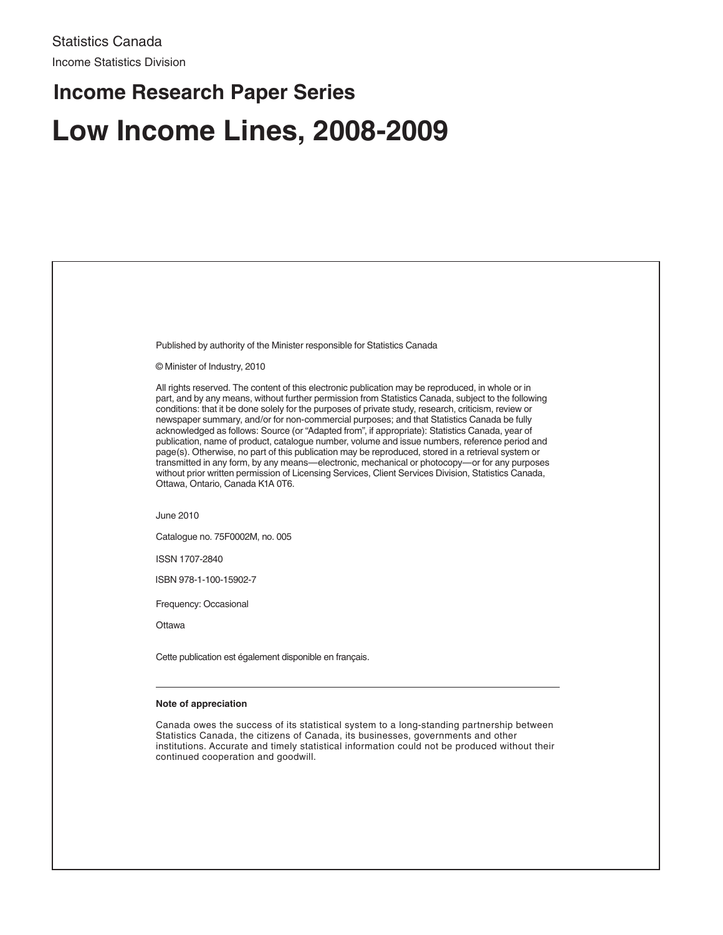# **Low Income Lines, 2008-2009 Income Research Paper Series**

| Published by authority of the Minister responsible for Statistics Canada<br>© Minister of Industry, 2010<br>All rights reserved. The content of this electronic publication may be reproduced, in whole or in<br>part, and by any means, without further permission from Statistics Canada, subject to the following<br>conditions: that it be done solely for the purposes of private study, research, criticism, review or<br>newspaper summary, and/or for non-commercial purposes; and that Statistics Canada be fully<br>acknowledged as follows: Source (or "Adapted from", if appropriate): Statistics Canada, year of<br>publication, name of product, catalogue number, volume and issue numbers, reference period and<br>page(s). Otherwise, no part of this publication may be reproduced, stored in a retrieval system or<br>transmitted in any form, by any means—electronic, mechanical or photocopy—or for any purposes<br>without prior written permission of Licensing Services, Client Services Division, Statistics Canada,<br>Ottawa, Ontario, Canada K1A 0T6. |
|------------------------------------------------------------------------------------------------------------------------------------------------------------------------------------------------------------------------------------------------------------------------------------------------------------------------------------------------------------------------------------------------------------------------------------------------------------------------------------------------------------------------------------------------------------------------------------------------------------------------------------------------------------------------------------------------------------------------------------------------------------------------------------------------------------------------------------------------------------------------------------------------------------------------------------------------------------------------------------------------------------------------------------------------------------------------------------|
|                                                                                                                                                                                                                                                                                                                                                                                                                                                                                                                                                                                                                                                                                                                                                                                                                                                                                                                                                                                                                                                                                    |
|                                                                                                                                                                                                                                                                                                                                                                                                                                                                                                                                                                                                                                                                                                                                                                                                                                                                                                                                                                                                                                                                                    |
|                                                                                                                                                                                                                                                                                                                                                                                                                                                                                                                                                                                                                                                                                                                                                                                                                                                                                                                                                                                                                                                                                    |
|                                                                                                                                                                                                                                                                                                                                                                                                                                                                                                                                                                                                                                                                                                                                                                                                                                                                                                                                                                                                                                                                                    |
| June 2010                                                                                                                                                                                                                                                                                                                                                                                                                                                                                                                                                                                                                                                                                                                                                                                                                                                                                                                                                                                                                                                                          |
| Catalogue no. 75F0002M, no. 005                                                                                                                                                                                                                                                                                                                                                                                                                                                                                                                                                                                                                                                                                                                                                                                                                                                                                                                                                                                                                                                    |
| ISSN 1707-2840                                                                                                                                                                                                                                                                                                                                                                                                                                                                                                                                                                                                                                                                                                                                                                                                                                                                                                                                                                                                                                                                     |
| ISBN 978-1-100-15902-7                                                                                                                                                                                                                                                                                                                                                                                                                                                                                                                                                                                                                                                                                                                                                                                                                                                                                                                                                                                                                                                             |
| Frequency: Occasional                                                                                                                                                                                                                                                                                                                                                                                                                                                                                                                                                                                                                                                                                                                                                                                                                                                                                                                                                                                                                                                              |
| Ottawa                                                                                                                                                                                                                                                                                                                                                                                                                                                                                                                                                                                                                                                                                                                                                                                                                                                                                                                                                                                                                                                                             |
| Cette publication est également disponible en français.                                                                                                                                                                                                                                                                                                                                                                                                                                                                                                                                                                                                                                                                                                                                                                                                                                                                                                                                                                                                                            |
| Note of appreciation                                                                                                                                                                                                                                                                                                                                                                                                                                                                                                                                                                                                                                                                                                                                                                                                                                                                                                                                                                                                                                                               |
| Canada owes the success of its statistical system to a long-standing partnership between<br>Statistics Canada, the citizens of Canada, its businesses, governments and other<br>institutions. Accurate and timely statistical information could not be produced without their<br>continued cooperation and goodwill.                                                                                                                                                                                                                                                                                                                                                                                                                                                                                                                                                                                                                                                                                                                                                               |
|                                                                                                                                                                                                                                                                                                                                                                                                                                                                                                                                                                                                                                                                                                                                                                                                                                                                                                                                                                                                                                                                                    |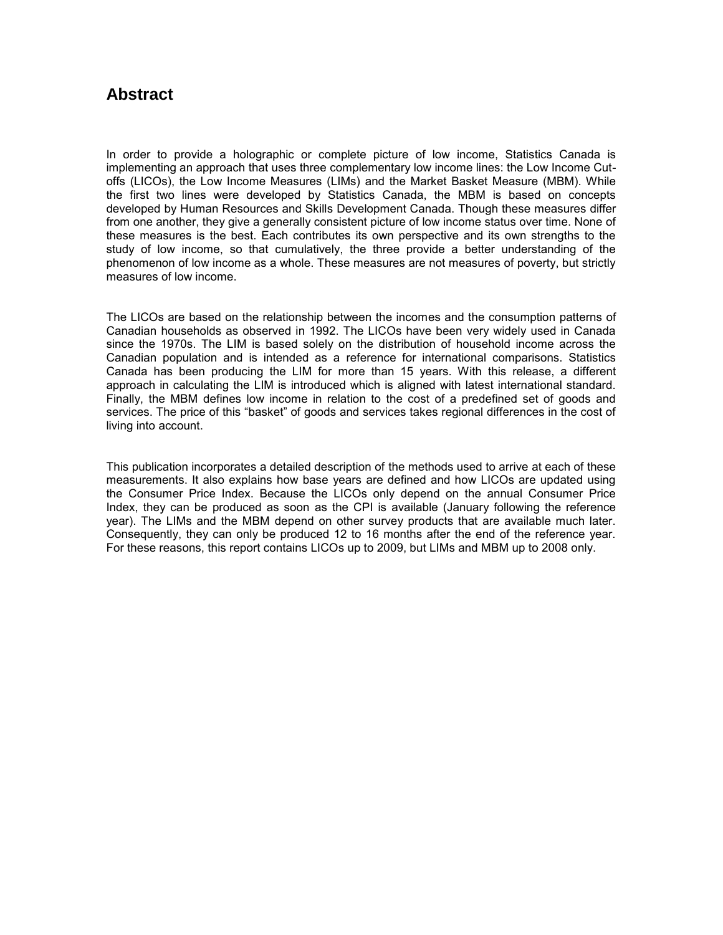#### **Abstract**

In order to provide a holographic or complete picture of low income, Statistics Canada is implementing an approach that uses three complementary low income lines: the Low Income Cutoffs (LICOs), the Low Income Measures (LIMs) and the Market Basket Measure (MBM). While the first two lines were developed by Statistics Canada, the MBM is based on concepts developed by Human Resources and Skills Development Canada. Though these measures differ from one another, they give a generally consistent picture of low income status over time. None of these measures is the best. Each contributes its own perspective and its own strengths to the study of low income, so that cumulatively, the three provide a better understanding of the phenomenon of low income as a whole. These measures are not measures of poverty, but strictly measures of low income.

The LICOs are based on the relationship between the incomes and the consumption patterns of Canadian households as observed in 1992. The LICOs have been very widely used in Canada since the 1970s. The LIM is based solely on the distribution of household income across the Canadian population and is intended as a reference for international comparisons. Statistics Canada has been producing the LIM for more than 15 years. With this release, a different approach in calculating the LIM is introduced which is aligned with latest international standard. Finally, the MBM defines low income in relation to the cost of a predefined set of goods and services. The price of this "basket" of goods and services takes regional differences in the cost of living into account.

This publication incorporates a detailed description of the methods used to arrive at each of these measurements. It also explains how base years are defined and how LICOs are updated using the Consumer Price Index. Because the LICOs only depend on the annual Consumer Price Index, they can be produced as soon as the CPI is available (January following the reference year). The LIMs and the MBM depend on other survey products that are available much later. Consequently, they can only be produced 12 to 16 months after the end of the reference year. For these reasons, this report contains LICOs up to 2009, but LIMs and MBM up to 2008 only.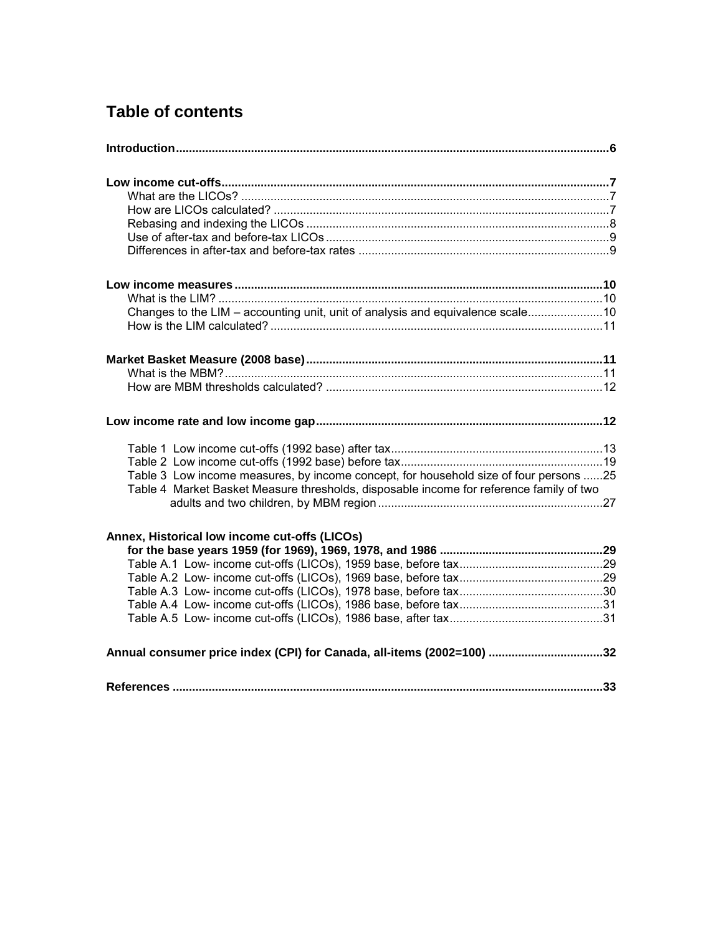# **Table of contents**

| Changes to the LIM – accounting unit, unit of analysis and equivalence scale10          |  |
|-----------------------------------------------------------------------------------------|--|
|                                                                                         |  |
|                                                                                         |  |
|                                                                                         |  |
|                                                                                         |  |
|                                                                                         |  |
|                                                                                         |  |
|                                                                                         |  |
|                                                                                         |  |
| Table 3 Low income measures, by income concept, for household size of four persons 25   |  |
| Table 4 Market Basket Measure thresholds, disposable income for reference family of two |  |
|                                                                                         |  |
| Annex, Historical low income cut-offs (LICOs)                                           |  |
|                                                                                         |  |
|                                                                                         |  |
|                                                                                         |  |
|                                                                                         |  |
|                                                                                         |  |
|                                                                                         |  |
| Annual consumer price index (CPI) for Canada, all-items (2002=100) 32                   |  |
|                                                                                         |  |
|                                                                                         |  |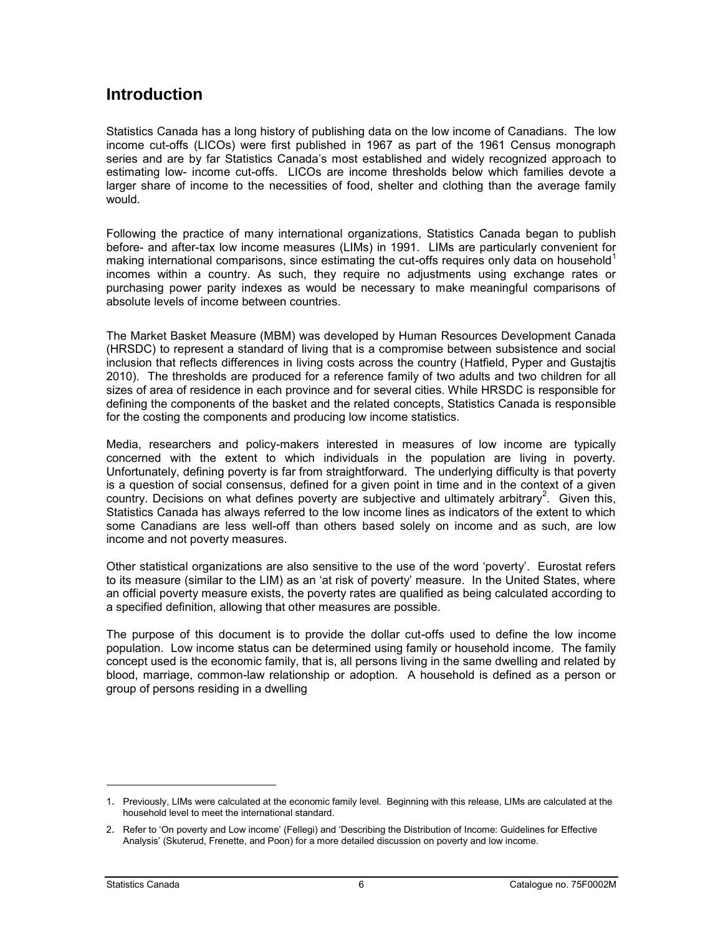#### <span id="page-5-0"></span>**Introduction**

Statistics Canada has a long history of publishing data on the low income of Canadians. The low income cut-offs (LICOs) were first published in 1967 as part of the 1961 Census monograph series and are by far Statistics Canada's most established and widely recognized approach to estimating low- income cut-offs. LICOs are income thresholds below which families devote a larger share of income to the necessities of food, shelter and clothing than the average family would.

Following the practice of many international organizations, Statistics Canada began to publish before- and after-tax low income measures (LIMs) in 1991. LIMs are particularly convenient for making international comparisons, since estimating the cut-offs requires only data on household<sup>1</sup> incomes within a country. As such, they require no adjustments using exchange rates or purchasing power parity indexes as would be necessary to make meaningful comparisons of absolute levels of income between countries.

The Market Basket Measure (MBM) was developed by Human Resources Development Canada (HRSDC) to represent a standard of living that is a compromise between subsistence and social inclusion that reflects differences in living costs across the country (Hatfield, Pyper and Gustajtis 2010). The thresholds are produced for a reference family of two adults and two children for all sizes of area of residence in each province and for several cities. While HRSDC is responsible for defining the components of the basket and the related concepts, Statistics Canada is responsible for the costing the components and producing low income statistics.

Media, researchers and policy-makers interested in measures of low income are typically concerned with the extent to which individuals in the population are living in poverty. Unfortunately, defining poverty is far from straightforward. The underlying difficulty is that poverty is a question of social consensus, defined for a given point in time and in the context of a given country. Decisions on what defines poverty are subjective and ultimately arbitrary<sup>2</sup>. Given this, Statistics Canada has always referred to the low income lines as indicators of the extent to which some Canadians are less well-off than others based solely on income and as such, are low income and not poverty measures.

Other statistical organizations are also sensitive to the use of the word 'poverty'. Eurostat refers to its measure (similar to the LIM) as an 'at risk of poverty' measure. In the United States, where an official poverty measure exists, the poverty rates are qualified as being calculated according to a specified definition, allowing that other measures are possible.

The purpose of this document is to provide the dollar cut-offs used to define the low income population. Low income status can be determined using family or household income. The family concept used is the economic family, that is, all persons living in the same dwelling and related by blood, marriage, common-law relationship or adoption. A household is defined as a person or group of persons residing in a dwelling

-

<sup>1</sup>. Previously, LIMs were calculated at the economic family level. Beginning with this release, LIMs are calculated at the household level to meet the international standard.

<sup>2.</sup> Refer to 'On poverty and Low income' (Fellegi) and 'Describing the Distribution of Income: Guidelines for Effective Analysis' (Skuterud, Frenette, and Poon) for a more detailed discussion on poverty and low income.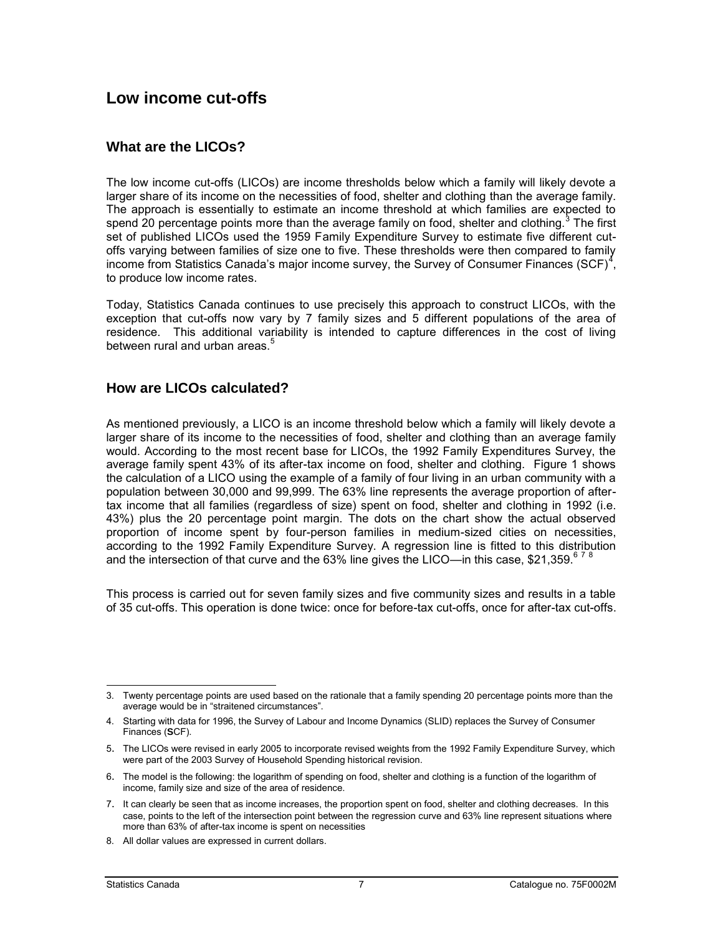#### <span id="page-6-0"></span>**Low income cut-offs**

#### **What are the LICOs?**

The low income cut-offs (LICOs) are income thresholds below which a family will likely devote a larger share of its income on the necessities of food, shelter and clothing than the average family. The approach is essentially to estimate an income threshold at which families are expected to spend 20 percentage points more than the average family on food, shelter and clothing.<sup>3</sup> The first set of published LICOs used the 1959 Family Expenditure Survey to estimate five different cutoffs varying between families of size one to five. These thresholds were then compared to family income from Statistics Canada's major income survey, the Survey of Consumer Finances (SCF) $<sup>4</sup>$ ,</sup> to produce low income rates.

Today, Statistics Canada continues to use precisely this approach to construct LICOs, with the exception that cut-offs now vary by 7 family sizes and 5 different populations of the area of residence. This additional variability is intended to capture differences in the cost of living between rural and urban areas.<sup>5</sup>

#### **How are LICOs calculated?**

As mentioned previously, a LICO is an income threshold below which a family will likely devote a larger share of its income to the necessities of food, shelter and clothing than an average family would. According to the most recent base for LICOs, the 1992 Family Expenditures Survey, the average family spent 43% of its after-tax income on food, shelter and clothing. Figure 1 shows the calculation of a LICO using the example of a family of four living in an urban community with a population between 30,000 and 99,999. The 63% line represents the average proportion of aftertax income that all families (regardless of size) spent on food, shelter and clothing in 1992 (i.e. 43%) plus the 20 percentage point margin. The dots on the chart show the actual observed proportion of income spent by four-person families in medium-sized cities on necessities, according to the 1992 Family Expenditure Survey. A regression line is fitted to this distribution and the intersection of that curve and the 63% line gives the LICO—in this case, \$21,359. $678$ 

This process is carried out for seven family sizes and five community sizes and results in a table of 35 cut-offs. This operation is done twice: once for before-tax cut-offs, once for after-tax cut-offs.

j 3. Twenty percentage points are used based on the rationale that a family spending 20 percentage points more than the average would be in "straitened circumstances".

<sup>4.</sup> Starting with data for 1996, the Survey of Labour and Income Dynamics (SLID) replaces the Survey of Consumer Finances (**S**CF).

<sup>5</sup>. The LICOs were revised in early 2005 to incorporate revised weights from the 1992 Family Expenditure Survey, which were part of the 2003 Survey of Household Spending historical revision.

<sup>6</sup>. The model is the following: the logarithm of spending on food, shelter and clothing is a function of the logarithm of income, family size and size of the area of residence.

<sup>7</sup>. It can clearly be seen that as income increases, the proportion spent on food, shelter and clothing decreases. In this case, points to the left of the intersection point between the regression curve and 63% line represent situations where more than 63% of after-tax income is spent on necessities

<sup>8.</sup> All dollar values are expressed in current dollars.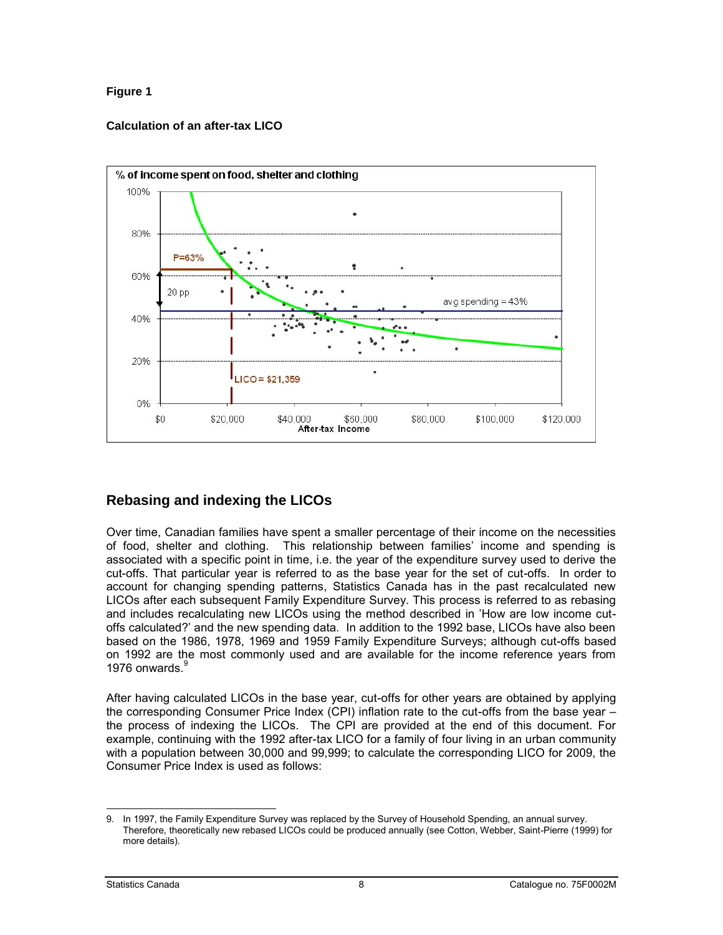#### <span id="page-7-0"></span>**Figure 1**

#### **Calculation of an after-tax LICO**



#### **Rebasing and indexing the LICOs**

Over time, Canadian families have spent a smaller percentage of their income on the necessities of food, shelter and clothing. This relationship between families' income and spending is associated with a specific point in time, i.e. the year of the expenditure survey used to derive the cut-offs. That particular year is referred to as the base year for the set of cut-offs. In order to account for changing spending patterns, Statistics Canada has in the past recalculated new LICOs after each subsequent Family Expenditure Survey. This process is referred to as rebasing and includes recalculating new LICOs using the method described in 'How are low income cutoffs calculated?' and the new spending data. In addition to the 1992 base, LICOs have also been based on the 1986, 1978, 1969 and 1959 Family Expenditure Surveys; although cut-offs based on 1992 are the most commonly used and are available for the income reference years from 1976 onwards $\frac{9}{2}$ 

After having calculated LICOs in the base year, cut-offs for other years are obtained by applying the corresponding Consumer Price Index (CPI) inflation rate to the cut-offs from the base year – the process of indexing the LICOs. The CPI are provided at the end of this document. For example, continuing with the 1992 after-tax LICO for a family of four living in an urban community with a population between 30,000 and 99,999; to calculate the corresponding LICO for 2009, the Consumer Price Index is used as follows:

<sup>-</sup>9. In 1997, the Family Expenditure Survey was replaced by the Survey of Household Spending, an annual survey. Therefore, theoretically new rebased LICOs could be produced annually (see Cotton, Webber, Saint-Pierre (1999) for more details).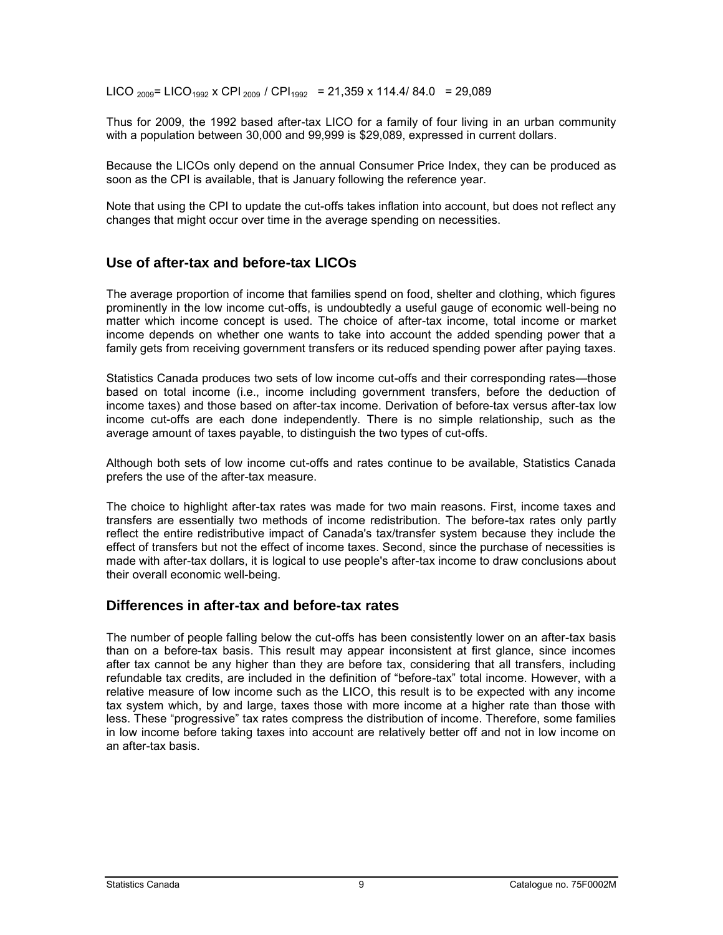<span id="page-8-0"></span>LICO <sub>2009</sub> = LICO<sub>1992</sub> x CPI <sub>2009</sub> / CPI<sub>1992</sub> = 21,359 x 114.4/ 84.0 = 29,089

Thus for 2009, the 1992 based after-tax LICO for a family of four living in an urban community with a population between 30,000 and 99,999 is \$29,089, expressed in current dollars.

Because the LICOs only depend on the annual Consumer Price Index, they can be produced as soon as the CPI is available, that is January following the reference year.

Note that using the CPI to update the cut-offs takes inflation into account, but does not reflect any changes that might occur over time in the average spending on necessities.

#### **Use of after-tax and before-tax LICOs**

The average proportion of income that families spend on food, shelter and clothing, which figures prominently in the low income cut-offs, is undoubtedly a useful gauge of economic well-being no matter which income concept is used. The choice of after-tax income, total income or market income depends on whether one wants to take into account the added spending power that a family gets from receiving government transfers or its reduced spending power after paying taxes.

Statistics Canada produces two sets of low income cut-offs and their corresponding rates—those based on total income (i.e., income including government transfers, before the deduction of income taxes) and those based on after-tax income. Derivation of before-tax versus after-tax low income cut-offs are each done independently. There is no simple relationship, such as the average amount of taxes payable, to distinguish the two types of cut-offs.

Although both sets of low income cut-offs and rates continue to be available, Statistics Canada prefers the use of the after-tax measure.

The choice to highlight after-tax rates was made for two main reasons. First, income taxes and transfers are essentially two methods of income redistribution. The before-tax rates only partly reflect the entire redistributive impact of Canada's tax/transfer system because they include the effect of transfers but not the effect of income taxes. Second, since the purchase of necessities is made with after-tax dollars, it is logical to use people's after-tax income to draw conclusions about their overall economic well-being.

#### **Differences in after-tax and before-tax rates**

The number of people falling below the cut-offs has been consistently lower on an after-tax basis than on a before-tax basis. This result may appear inconsistent at first glance, since incomes after tax cannot be any higher than they are before tax, considering that all transfers, including refundable tax credits, are included in the definition of "before-tax" total income. However, with a relative measure of low income such as the LICO, this result is to be expected with any income tax system which, by and large, taxes those with more income at a higher rate than those with less. These "progressive" tax rates compress the distribution of income. Therefore, some families in low income before taking taxes into account are relatively better off and not in low income on an after-tax basis.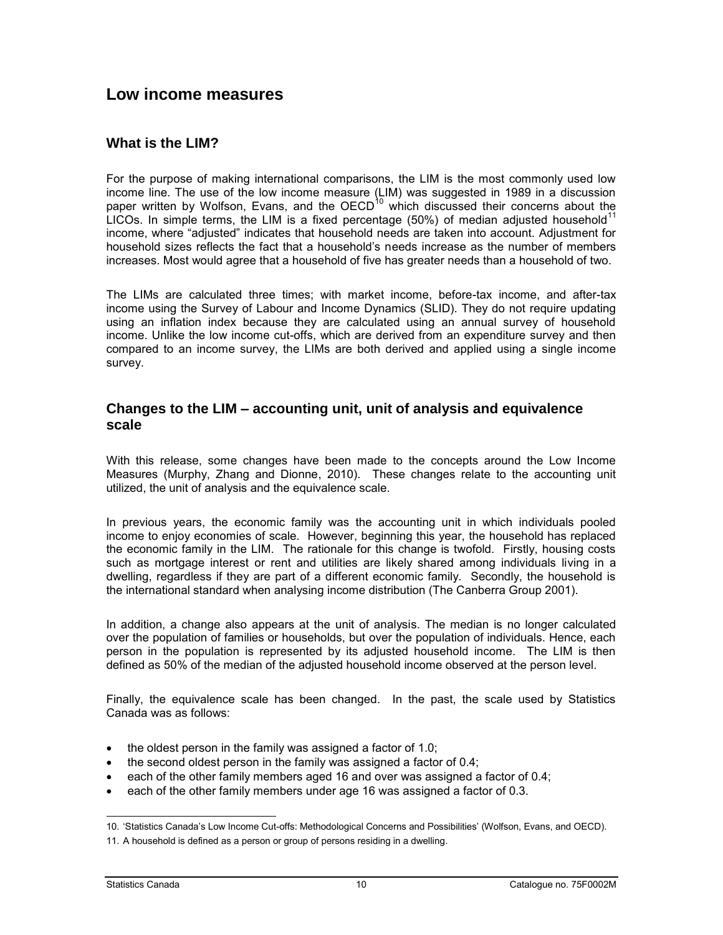#### <span id="page-9-0"></span>**Low income measures**

#### **What is the LIM?**

For the purpose of making international comparisons, the LIM is the most commonly used low income line. The use of the low income measure (LIM) was suggested in 1989 in a discussion paper written by Wolfson, Evans, and the OECD<sup>10</sup> which discussed their concerns about the LICOs. In simple terms, the LIM is a fixed percentage (50%) of median adjusted household<sup>11</sup> income, where "adjusted" indicates that household needs are taken into account. Adjustment for household sizes reflects the fact that a household's needs increase as the number of members increases. Most would agree that a household of five has greater needs than a household of two.

The LIMs are calculated three times; with market income, before-tax income, and after-tax income using the Survey of Labour and Income Dynamics (SLID). They do not require updating using an inflation index because they are calculated using an annual survey of household income. Unlike the low income cut-offs, which are derived from an expenditure survey and then compared to an income survey, the LIMs are both derived and applied using a single income survey.

#### **Changes to the LIM – accounting unit, unit of analysis and equivalence scale**

With this release, some changes have been made to the concepts around the Low Income Measures (Murphy, Zhang and Dionne, 2010). These changes relate to the accounting unit utilized, the unit of analysis and the equivalence scale.

In previous years, the economic family was the accounting unit in which individuals pooled income to enjoy economies of scale. However, beginning this year, the household has replaced the economic family in the LIM. The rationale for this change is twofold. Firstly, housing costs such as mortgage interest or rent and utilities are likely shared among individuals living in a dwelling, regardless if they are part of a different economic family. Secondly, the household is the international standard when analysing income distribution (The Canberra Group 2001).

In addition, a change also appears at the unit of analysis. The median is no longer calculated over the population of families or households, but over the population of individuals. Hence, each person in the population is represented by its adjusted household income. The LIM is then defined as 50% of the median of the adjusted household income observed at the person level.

Finally, the equivalence scale has been changed. In the past, the scale used by Statistics Canada was as follows:

- the oldest person in the family was assigned a factor of 1.0;
- the second oldest person in the family was assigned a factor of 0.4;
- each of the other family members aged 16 and over was assigned a factor of 0.4;
- each of the other family members under age 16 was assigned a factor of 0.3.

j 10. ‗Statistics Canada's Low Income Cut-offs: Methodological Concerns and Possibilities' (Wolfson, Evans, and OECD).

<sup>11.</sup> A household is defined as a person or group of persons residing in a dwelling.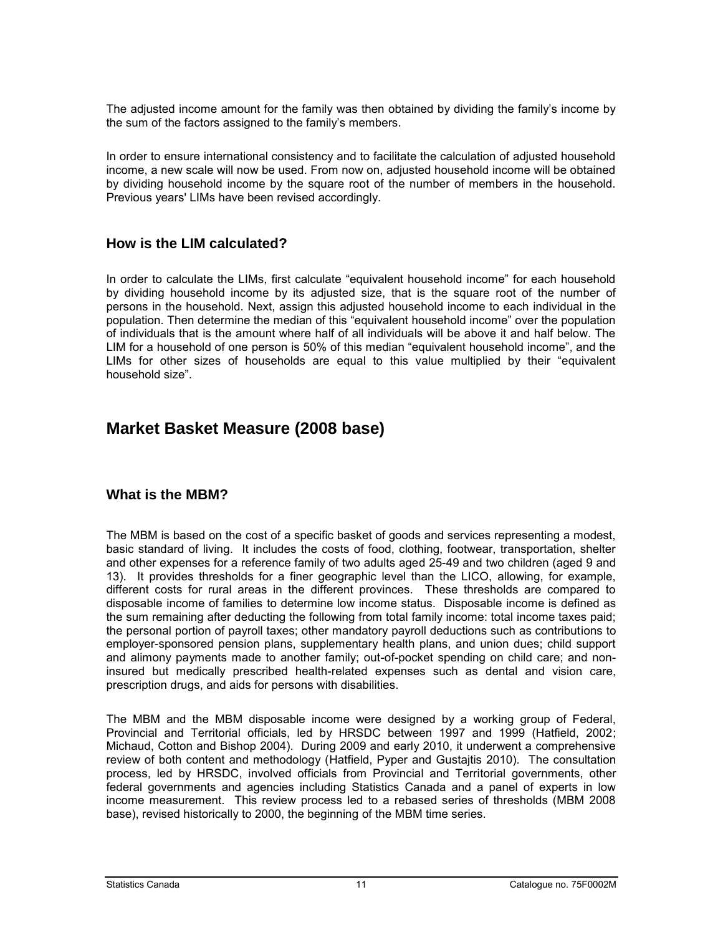<span id="page-10-0"></span>The adjusted income amount for the family was then obtained by dividing the family's income by the sum of the factors assigned to the family's members.

In order to ensure international consistency and to facilitate the calculation of adjusted household income, a new scale will now be used. From now on, adjusted household income will be obtained by dividing household income by the square root of the number of members in the household. Previous years' LIMs have been revised accordingly.

#### **How is the LIM calculated?**

In order to calculate the LIMs, first calculate "equivalent household income" for each household by dividing household income by its adjusted size, that is the square root of the number of persons in the household. Next, assign this adjusted household income to each individual in the population. Then determine the median of this "equivalent household income" over the population of individuals that is the amount where half of all individuals will be above it and half below. The LIM for a household of one person is 50% of this median "equivalent household income", and the LIMs for other sizes of households are equal to this value multiplied by their "equivalent household size‖.

#### **Market Basket Measure (2008 base)**

#### **What is the MBM?**

The MBM is based on the cost of a specific basket of goods and services representing a modest, basic standard of living. It includes the costs of food, clothing, footwear, transportation, shelter and other expenses for a reference family of two adults aged 25-49 and two children (aged 9 and 13). It provides thresholds for a finer geographic level than the LICO, allowing, for example, different costs for rural areas in the different provinces. These thresholds are compared to disposable income of families to determine low income status. Disposable income is defined as the sum remaining after deducting the following from total family income: total income taxes paid; the personal portion of payroll taxes; other mandatory payroll deductions such as contributions to employer-sponsored pension plans, supplementary health plans, and union dues; child support and alimony payments made to another family; out-of-pocket spending on child care; and noninsured but medically prescribed health-related expenses such as dental and vision care, prescription drugs, and aids for persons with disabilities.

The MBM and the MBM disposable income were designed by a working group of Federal, Provincial and Territorial officials, led by HRSDC between 1997 and 1999 (Hatfield, 2002; Michaud, Cotton and Bishop 2004). During 2009 and early 2010, it underwent a comprehensive review of both content and methodology (Hatfield, Pyper and Gustajtis 2010). The consultation process, led by HRSDC, involved officials from Provincial and Territorial governments, other federal governments and agencies including Statistics Canada and a panel of experts in low income measurement. This review process led to a rebased series of thresholds (MBM 2008 base), revised historically to 2000, the beginning of the MBM time series.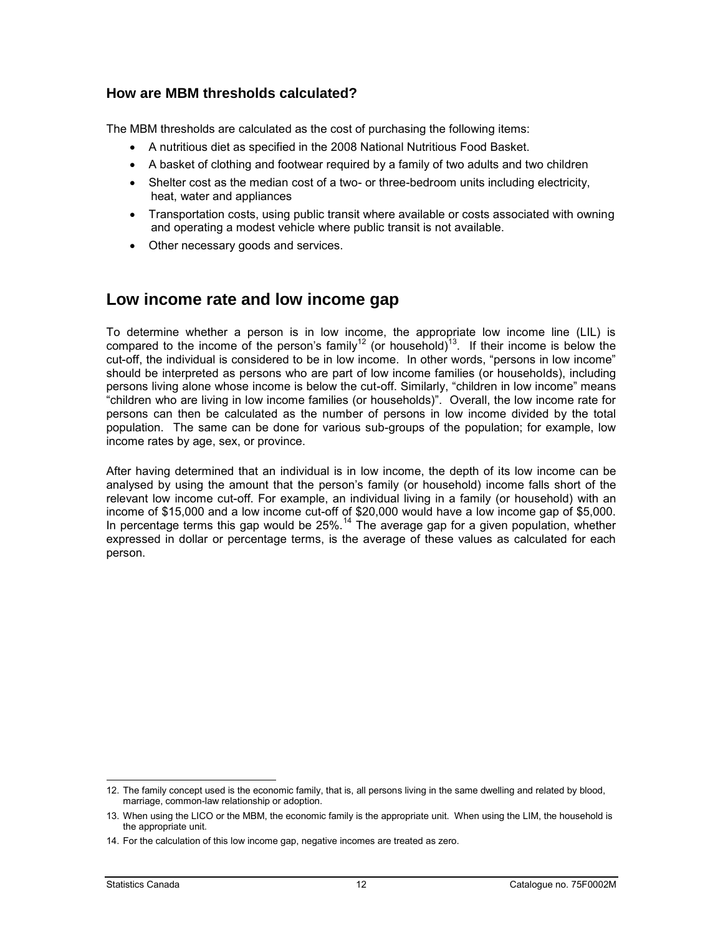#### <span id="page-11-0"></span>**How are MBM thresholds calculated?**

The MBM thresholds are calculated as the cost of purchasing the following items:

- A nutritious diet as specified in the 2008 National Nutritious Food Basket.
- A basket of clothing and footwear required by a family of two adults and two children
- Shelter cost as the median cost of a two- or three-bedroom units including electricity, heat, water and appliances
- Transportation costs, using public transit where available or costs associated with owning and operating a modest vehicle where public transit is not available.
- Other necessary goods and services.

#### **Low income rate and low income gap**

To determine whether a person is in low income, the appropriate low income line (LIL) is compared to the income of the person's family<sup>12</sup> (or household)<sup>13</sup>. If their income is below the cut-off, the individual is considered to be in low income. In other words, "persons in low income" should be interpreted as persons who are part of low income families (or households), including persons living alone whose income is below the cut-off. Similarly, "children in low income" means ―children who are living in low income families (or households)‖. Overall, the low income rate for persons can then be calculated as the number of persons in low income divided by the total population. The same can be done for various sub-groups of the population; for example, low income rates by age, sex, or province.

After having determined that an individual is in low income, the depth of its low income can be analysed by using the amount that the person's family (or household) income falls short of the relevant low income cut-off. For example, an individual living in a family (or household) with an income of \$15,000 and a low income cut-off of \$20,000 would have a low income gap of \$5,000. In percentage terms this gap would be 25%.<sup>14</sup> The average gap for a given population, whether expressed in dollar or percentage terms, is the average of these values as calculated for each person.

<sup>-</sup>12. The family concept used is the economic family, that is, all persons living in the same dwelling and related by blood, marriage, common-law relationship or adoption.

<sup>13.</sup> When using the LICO or the MBM, the economic family is the appropriate unit. When using the LIM, the household is the appropriate unit.

<sup>14.</sup> For the calculation of this low income gap, negative incomes are treated as zero.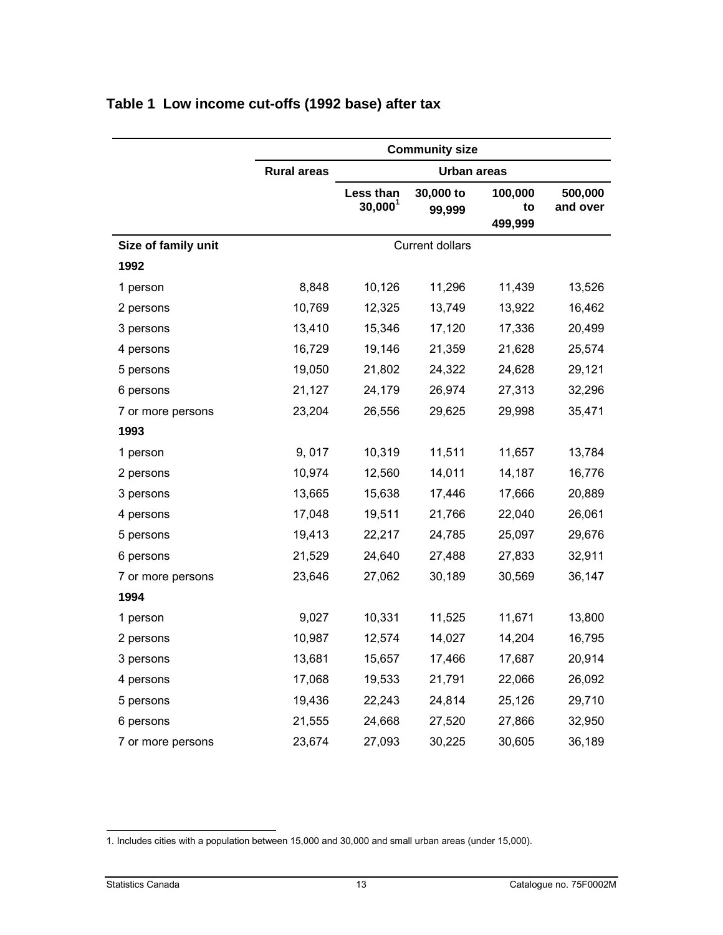|                     |                    |                                  | <b>Community size</b>  |                          |                     |
|---------------------|--------------------|----------------------------------|------------------------|--------------------------|---------------------|
|                     | <b>Rural areas</b> |                                  | Urban areas            |                          |                     |
|                     |                    | Less than<br>30,000 <sup>1</sup> | 30,000 to<br>99,999    | 100,000<br>to<br>499,999 | 500,000<br>and over |
| Size of family unit |                    |                                  | <b>Current dollars</b> |                          |                     |
| 1992                |                    |                                  |                        |                          |                     |
| 1 person            | 8,848              | 10,126                           | 11,296                 | 11,439                   | 13,526              |
| 2 persons           | 10,769             | 12,325                           | 13,749                 | 13,922                   | 16,462              |
| 3 persons           | 13,410             | 15,346                           | 17,120                 | 17,336                   | 20,499              |
| 4 persons           | 16,729             | 19,146                           | 21,359                 | 21,628                   | 25,574              |
| 5 persons           | 19,050             | 21,802                           | 24,322                 | 24,628                   | 29,121              |
| 6 persons           | 21,127             | 24,179                           | 26,974                 | 27,313                   | 32,296              |
| 7 or more persons   | 23,204             | 26,556                           | 29,625                 | 29,998                   | 35,471              |
| 1993                |                    |                                  |                        |                          |                     |
| 1 person            | 9,017              | 10,319                           | 11,511                 | 11,657                   | 13,784              |
| 2 persons           | 10,974             | 12,560                           | 14,011                 | 14,187                   | 16,776              |
| 3 persons           | 13,665             | 15,638                           | 17,446                 | 17,666                   | 20,889              |
| 4 persons           | 17,048             | 19,511                           | 21,766                 | 22,040                   | 26,061              |
| 5 persons           | 19,413             | 22,217                           | 24,785                 | 25,097                   | 29,676              |
| 6 persons           | 21,529             | 24,640                           | 27,488                 | 27,833                   | 32,911              |
| 7 or more persons   | 23,646             | 27,062                           | 30,189                 | 30,569                   | 36,147              |
| 1994                |                    |                                  |                        |                          |                     |
| 1 person            | 9,027              | 10,331                           | 11,525                 | 11,671                   | 13,800              |
| 2 persons           | 10,987             | 12,574                           | 14,027                 | 14,204                   | 16,795              |
| 3 persons           | 13,681             | 15,657                           | 17,466                 | 17,687                   | 20,914              |
| 4 persons           | 17,068             | 19,533                           | 21,791                 | 22,066                   | 26,092              |
| 5 persons           | 19,436             | 22,243                           | 24,814                 | 25,126                   | 29,710              |
| 6 persons           | 21,555             | 24,668                           | 27,520                 | 27,866                   | 32,950              |
| 7 or more persons   | 23,674             | 27,093                           | 30,225                 | 30,605                   | 36,189              |

#### <span id="page-12-0"></span>**Table 1 Low income cut-offs (1992 base) after tax**

<sup>-</sup>1. Includes cities with a population between 15,000 and 30,000 and small urban areas (under 15,000).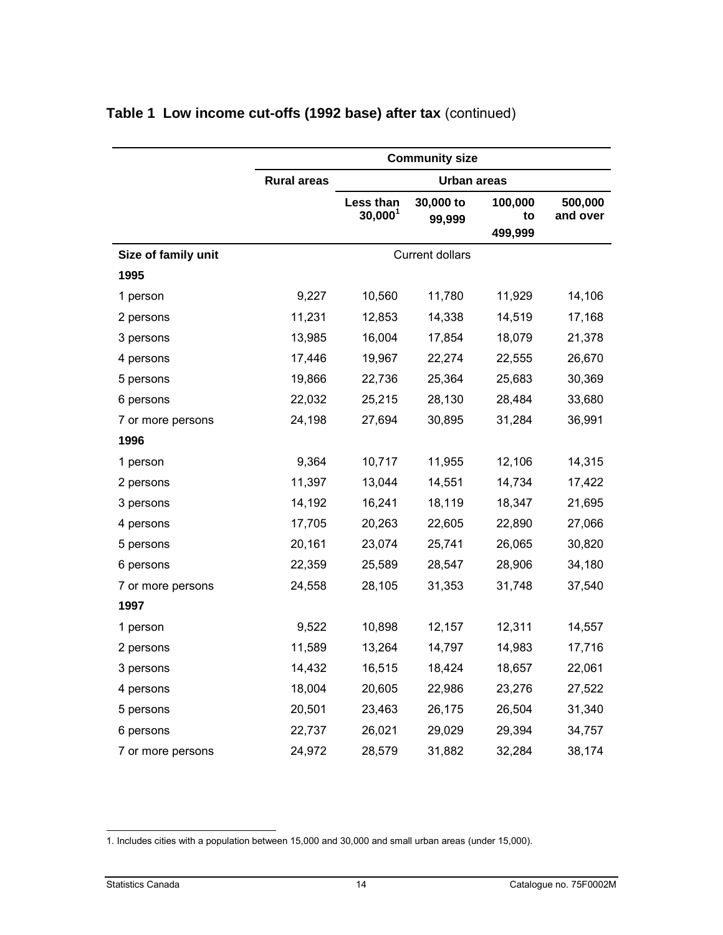|                     | <b>Community size</b> |                         |                        |                          |                     |
|---------------------|-----------------------|-------------------------|------------------------|--------------------------|---------------------|
|                     | <b>Rural areas</b>    |                         | <b>Urban areas</b>     |                          |                     |
|                     |                       | Less than<br>$30,000^1$ | 30,000 to<br>99,999    | 100,000<br>to<br>499,999 | 500,000<br>and over |
| Size of family unit |                       |                         | <b>Current dollars</b> |                          |                     |
| 1995                |                       |                         |                        |                          |                     |
| 1 person            | 9,227                 | 10,560                  | 11,780                 | 11,929                   | 14,106              |
| 2 persons           | 11,231                | 12,853                  | 14,338                 | 14,519                   | 17,168              |
| 3 persons           | 13,985                | 16,004                  | 17,854                 | 18,079                   | 21,378              |
| 4 persons           | 17,446                | 19,967                  | 22,274                 | 22,555                   | 26,670              |
| 5 persons           | 19,866                | 22,736                  | 25,364                 | 25,683                   | 30,369              |
| 6 persons           | 22,032                | 25,215                  | 28,130                 | 28,484                   | 33,680              |
| 7 or more persons   | 24,198                | 27,694                  | 30,895                 | 31,284                   | 36,991              |
| 1996                |                       |                         |                        |                          |                     |
| 1 person            | 9,364                 | 10,717                  | 11,955                 | 12,106                   | 14,315              |
| 2 persons           | 11,397                | 13,044                  | 14,551                 | 14,734                   | 17,422              |
| 3 persons           | 14,192                | 16,241                  | 18,119                 | 18,347                   | 21,695              |
| 4 persons           | 17,705                | 20,263                  | 22,605                 | 22,890                   | 27,066              |
| 5 persons           | 20,161                | 23,074                  | 25,741                 | 26,065                   | 30,820              |
| 6 persons           | 22,359                | 25,589                  | 28,547                 | 28,906                   | 34,180              |
| 7 or more persons   | 24,558                | 28,105                  | 31,353                 | 31,748                   | 37,540              |
| 1997                |                       |                         |                        |                          |                     |
| 1 person            | 9,522                 | 10,898                  | 12,157                 | 12,311                   | 14,557              |
| 2 persons           | 11,589                | 13,264                  | 14,797                 | 14,983                   | 17,716              |
| 3 persons           | 14,432                | 16,515                  | 18,424                 | 18,657                   | 22,061              |
| 4 persons           | 18,004                | 20,605                  | 22,986                 | 23,276                   | 27,522              |
| 5 persons           | 20,501                | 23,463                  | 26,175                 | 26,504                   | 31,340              |
| 6 persons           | 22,737                | 26,021                  | 29,029                 | 29,394                   | 34,757              |
| 7 or more persons   | 24,972                | 28,579                  | 31,882                 | 32,284                   | 38,174              |

<sup>-</sup>1. Includes cities with a population between 15,000 and 30,000 and small urban areas (under 15,000).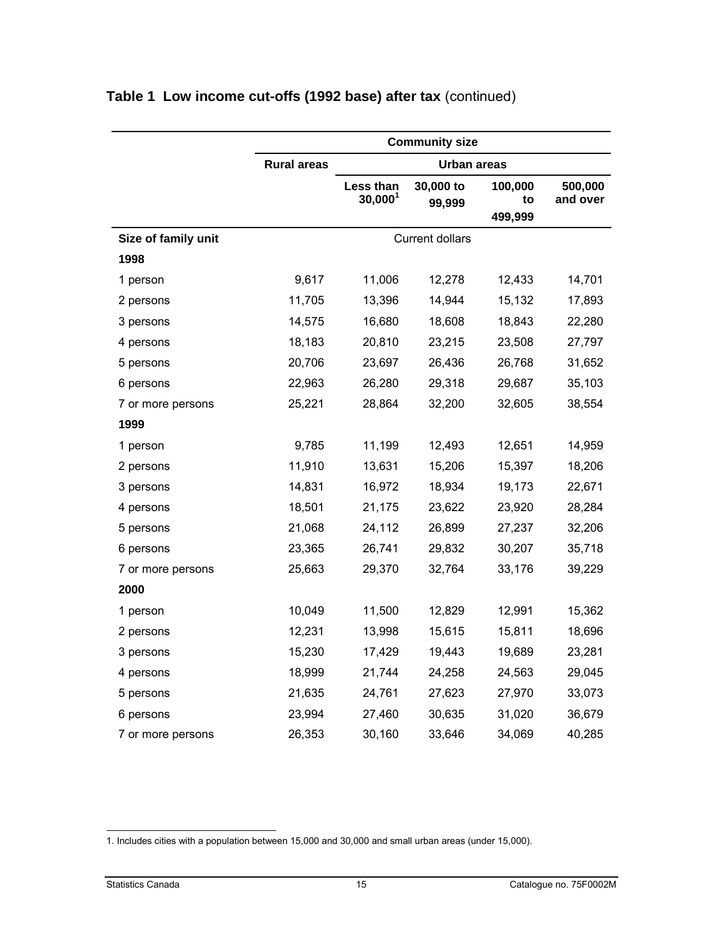|                     | <b>Community size</b> |                         |                        |                          |                     |
|---------------------|-----------------------|-------------------------|------------------------|--------------------------|---------------------|
|                     | <b>Rural areas</b>    |                         | <b>Urban areas</b>     |                          |                     |
|                     |                       | Less than<br>$30,000^1$ | 30,000 to<br>99,999    | 100,000<br>to<br>499,999 | 500,000<br>and over |
| Size of family unit |                       |                         | <b>Current dollars</b> |                          |                     |
| 1998                |                       |                         |                        |                          |                     |
| 1 person            | 9,617                 | 11,006                  | 12,278                 | 12,433                   | 14,701              |
| 2 persons           | 11,705                | 13,396                  | 14,944                 | 15,132                   | 17,893              |
| 3 persons           | 14,575                | 16,680                  | 18,608                 | 18,843                   | 22,280              |
| 4 persons           | 18,183                | 20,810                  | 23,215                 | 23,508                   | 27,797              |
| 5 persons           | 20,706                | 23,697                  | 26,436                 | 26,768                   | 31,652              |
| 6 persons           | 22,963                | 26,280                  | 29,318                 | 29,687                   | 35,103              |
| 7 or more persons   | 25,221                | 28,864                  | 32,200                 | 32,605                   | 38,554              |
| 1999                |                       |                         |                        |                          |                     |
| 1 person            | 9,785                 | 11,199                  | 12,493                 | 12,651                   | 14,959              |
| 2 persons           | 11,910                | 13,631                  | 15,206                 | 15,397                   | 18,206              |
| 3 persons           | 14,831                | 16,972                  | 18,934                 | 19,173                   | 22,671              |
| 4 persons           | 18,501                | 21,175                  | 23,622                 | 23,920                   | 28,284              |
| 5 persons           | 21,068                | 24,112                  | 26,899                 | 27,237                   | 32,206              |
| 6 persons           | 23,365                | 26,741                  | 29,832                 | 30,207                   | 35,718              |
| 7 or more persons   | 25,663                | 29,370                  | 32,764                 | 33,176                   | 39,229              |
| 2000                |                       |                         |                        |                          |                     |
| 1 person            | 10,049                | 11,500                  | 12,829                 | 12,991                   | 15,362              |
| 2 persons           | 12,231                | 13,998                  | 15,615                 | 15,811                   | 18,696              |
| 3 persons           | 15,230                | 17,429                  | 19,443                 | 19,689                   | 23,281              |
| 4 persons           | 18,999                | 21,744                  | 24,258                 | 24,563                   | 29,045              |
| 5 persons           | 21,635                | 24,761                  | 27,623                 | 27,970                   | 33,073              |
| 6 persons           | 23,994                | 27,460                  | 30,635                 | 31,020                   | 36,679              |
| 7 or more persons   | 26,353                | 30,160                  | 33,646                 | 34,069                   | 40,285              |

<sup>-</sup>1. Includes cities with a population between 15,000 and 30,000 and small urban areas (under 15,000).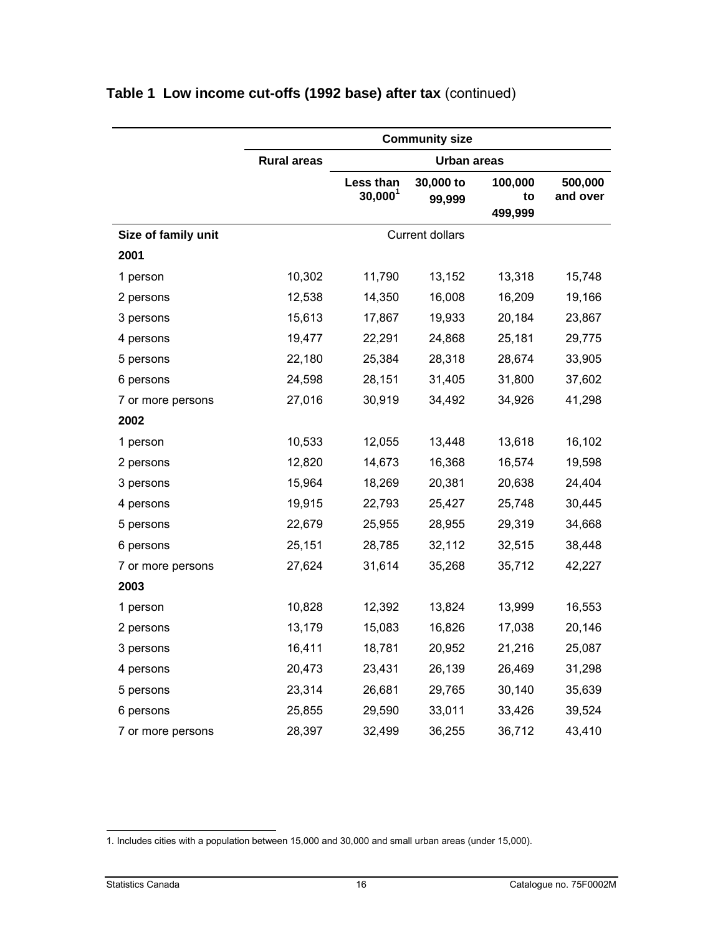|                     |                    |                         | <b>Community size</b>  |                          |                     |
|---------------------|--------------------|-------------------------|------------------------|--------------------------|---------------------|
|                     | <b>Rural areas</b> |                         | <b>Urban areas</b>     |                          |                     |
|                     |                    | Less than<br>$30,000^1$ | 30,000 to<br>99,999    | 100,000<br>to<br>499,999 | 500,000<br>and over |
| Size of family unit |                    |                         | <b>Current dollars</b> |                          |                     |
| 2001                |                    |                         |                        |                          |                     |
| 1 person            | 10,302             | 11,790                  | 13,152                 | 13,318                   | 15,748              |
| 2 persons           | 12,538             | 14,350                  | 16,008                 | 16,209                   | 19,166              |
| 3 persons           | 15,613             | 17,867                  | 19,933                 | 20,184                   | 23,867              |
| 4 persons           | 19,477             | 22,291                  | 24,868                 | 25,181                   | 29,775              |
| 5 persons           | 22,180             | 25,384                  | 28,318                 | 28,674                   | 33,905              |
| 6 persons           | 24,598             | 28,151                  | 31,405                 | 31,800                   | 37,602              |
| 7 or more persons   | 27,016             | 30,919                  | 34,492                 | 34,926                   | 41,298              |
| 2002                |                    |                         |                        |                          |                     |
| 1 person            | 10,533             | 12,055                  | 13,448                 | 13,618                   | 16,102              |
| 2 persons           | 12,820             | 14,673                  | 16,368                 | 16,574                   | 19,598              |
| 3 persons           | 15,964             | 18,269                  | 20,381                 | 20,638                   | 24,404              |
| 4 persons           | 19,915             | 22,793                  | 25,427                 | 25,748                   | 30,445              |
| 5 persons           | 22,679             | 25,955                  | 28,955                 | 29,319                   | 34,668              |
| 6 persons           | 25,151             | 28,785                  | 32,112                 | 32,515                   | 38,448              |
| 7 or more persons   | 27,624             | 31,614                  | 35,268                 | 35,712                   | 42,227              |
| 2003                |                    |                         |                        |                          |                     |
| 1 person            | 10,828             | 12,392                  | 13,824                 | 13,999                   | 16,553              |
| 2 persons           | 13,179             | 15,083                  | 16,826                 | 17,038                   | 20,146              |
| 3 persons           | 16,411             | 18,781                  | 20,952                 | 21,216                   | 25,087              |
| 4 persons           | 20,473             | 23,431                  | 26,139                 | 26,469                   | 31,298              |
| 5 persons           | 23,314             | 26,681                  | 29,765                 | 30,140                   | 35,639              |
| 6 persons           | 25,855             | 29,590                  | 33,011                 | 33,426                   | 39,524              |
| 7 or more persons   | 28,397             | 32,499                  | 36,255                 | 36,712                   | 43,410              |

<sup>-</sup>1. Includes cities with a population between 15,000 and 30,000 and small urban areas (under 15,000).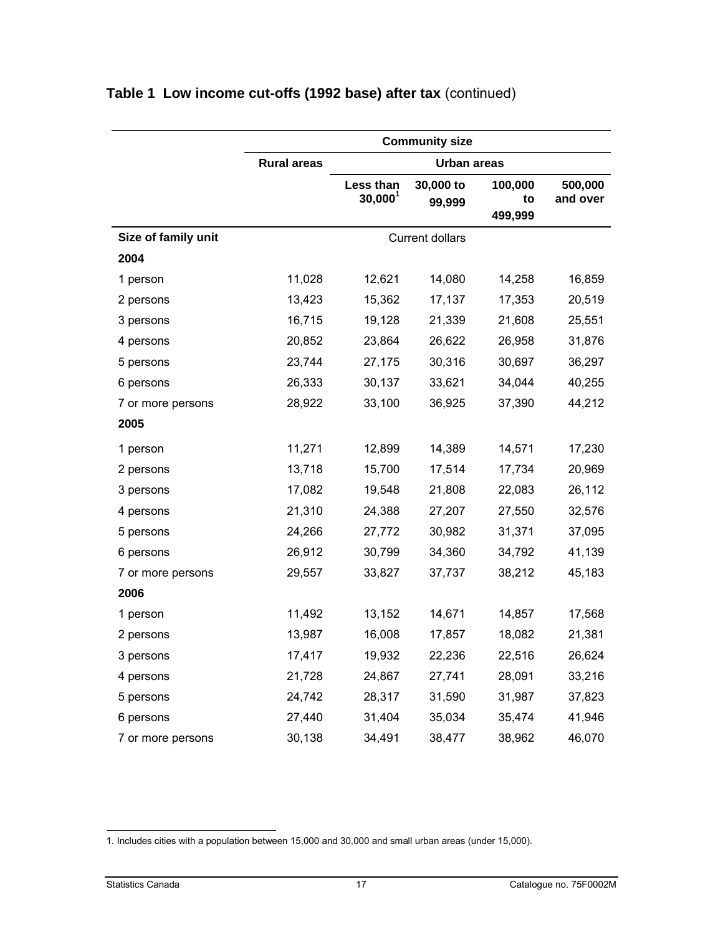|                     | <b>Community size</b> |                         |                        |                          |                     |
|---------------------|-----------------------|-------------------------|------------------------|--------------------------|---------------------|
|                     | <b>Rural areas</b>    |                         | Urban areas            |                          |                     |
|                     |                       | Less than<br>$30,000^1$ | 30,000 to<br>99,999    | 100,000<br>to<br>499,999 | 500,000<br>and over |
| Size of family unit |                       |                         | <b>Current dollars</b> |                          |                     |
| 2004                |                       |                         |                        |                          |                     |
| 1 person            | 11,028                | 12,621                  | 14,080                 | 14,258                   | 16,859              |
| 2 persons           | 13,423                | 15,362                  | 17,137                 | 17,353                   | 20,519              |
| 3 persons           | 16,715                | 19,128                  | 21,339                 | 21,608                   | 25,551              |
| 4 persons           | 20,852                | 23,864                  | 26,622                 | 26,958                   | 31,876              |
| 5 persons           | 23,744                | 27,175                  | 30,316                 | 30,697                   | 36,297              |
| 6 persons           | 26,333                | 30,137                  | 33,621                 | 34,044                   | 40,255              |
| 7 or more persons   | 28,922                | 33,100                  | 36,925                 | 37,390                   | 44,212              |
| 2005                |                       |                         |                        |                          |                     |
| 1 person            | 11,271                | 12,899                  | 14,389                 | 14,571                   | 17,230              |
| 2 persons           | 13,718                | 15,700                  | 17,514                 | 17,734                   | 20,969              |
| 3 persons           | 17,082                | 19,548                  | 21,808                 | 22,083                   | 26,112              |
| 4 persons           | 21,310                | 24,388                  | 27,207                 | 27,550                   | 32,576              |
| 5 persons           | 24,266                | 27,772                  | 30,982                 | 31,371                   | 37,095              |
| 6 persons           | 26,912                | 30,799                  | 34,360                 | 34,792                   | 41,139              |
| 7 or more persons   | 29,557                | 33,827                  | 37,737                 | 38,212                   | 45,183              |
| 2006                |                       |                         |                        |                          |                     |
| 1 person            | 11,492                | 13,152                  | 14,671                 | 14,857                   | 17,568              |
| 2 persons           | 13,987                | 16,008                  | 17,857                 | 18,082                   | 21,381              |
| 3 persons           | 17,417                | 19,932                  | 22,236                 | 22,516                   | 26,624              |
| 4 persons           | 21,728                | 24,867                  | 27,741                 | 28,091                   | 33,216              |
| 5 persons           | 24,742                | 28,317                  | 31,590                 | 31,987                   | 37,823              |
| 6 persons           | 27,440                | 31,404                  | 35,034                 | 35,474                   | 41,946              |
| 7 or more persons   | 30,138                | 34,491                  | 38,477                 | 38,962                   | 46,070              |

<sup>-</sup>1. Includes cities with a population between 15,000 and 30,000 and small urban areas (under 15,000).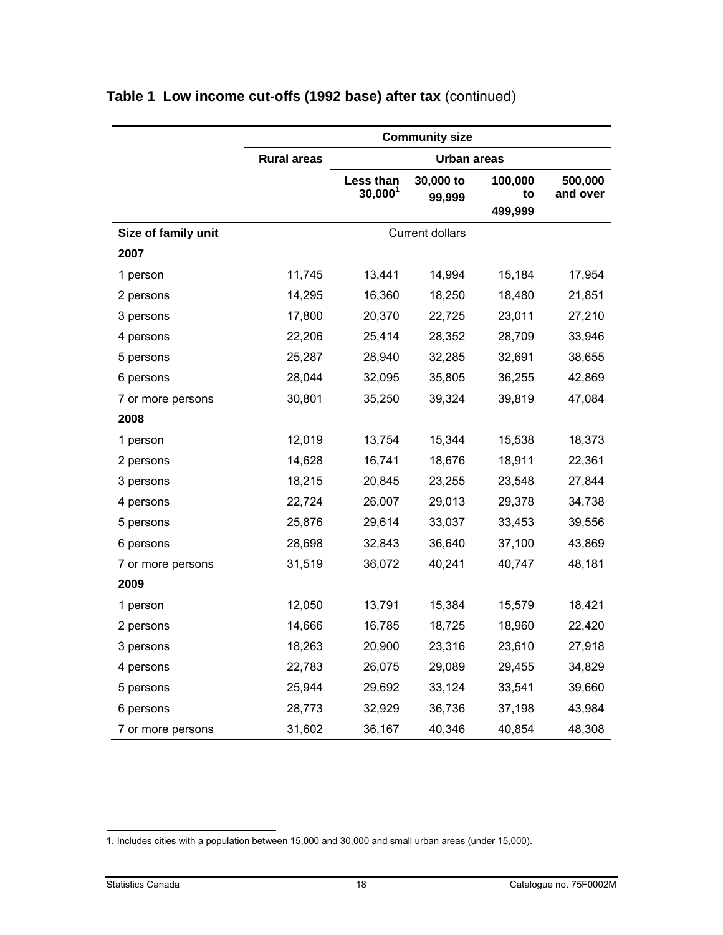|                     | <b>Community size</b> |                         |                        |                          |                     |
|---------------------|-----------------------|-------------------------|------------------------|--------------------------|---------------------|
|                     | <b>Rural areas</b>    |                         | Urban areas            |                          |                     |
|                     |                       | Less than<br>$30,000^1$ | 30,000 to<br>99,999    | 100,000<br>to<br>499,999 | 500,000<br>and over |
| Size of family unit |                       |                         | <b>Current dollars</b> |                          |                     |
| 2007                |                       |                         |                        |                          |                     |
| 1 person            | 11,745                | 13,441                  | 14,994                 | 15,184                   | 17,954              |
| 2 persons           | 14,295                | 16,360                  | 18,250                 | 18,480                   | 21,851              |
| 3 persons           | 17,800                | 20,370                  | 22,725                 | 23,011                   | 27,210              |
| 4 persons           | 22,206                | 25,414                  | 28,352                 | 28,709                   | 33,946              |
| 5 persons           | 25,287                | 28,940                  | 32,285                 | 32,691                   | 38,655              |
| 6 persons           | 28,044                | 32,095                  | 35,805                 | 36,255                   | 42,869              |
| 7 or more persons   | 30,801                | 35,250                  | 39,324                 | 39,819                   | 47,084              |
| 2008                |                       |                         |                        |                          |                     |
| 1 person            | 12,019                | 13,754                  | 15,344                 | 15,538                   | 18,373              |
| 2 persons           | 14,628                | 16,741                  | 18,676                 | 18,911                   | 22,361              |
| 3 persons           | 18,215                | 20,845                  | 23,255                 | 23,548                   | 27,844              |
| 4 persons           | 22,724                | 26,007                  | 29,013                 | 29,378                   | 34,738              |
| 5 persons           | 25,876                | 29,614                  | 33,037                 | 33,453                   | 39,556              |
| 6 persons           | 28,698                | 32,843                  | 36,640                 | 37,100                   | 43,869              |
| 7 or more persons   | 31,519                | 36,072                  | 40,241                 | 40,747                   | 48,181              |
| 2009                |                       |                         |                        |                          |                     |
| 1 person            | 12,050                | 13,791                  | 15,384                 | 15,579                   | 18,421              |
| 2 persons           | 14,666                | 16,785                  | 18,725                 | 18,960                   | 22,420              |
| 3 persons           | 18,263                | 20,900                  | 23,316                 | 23,610                   | 27,918              |
| 4 persons           | 22,783                | 26,075                  | 29,089                 | 29,455                   | 34,829              |
| 5 persons           | 25,944                | 29,692                  | 33,124                 | 33,541                   | 39,660              |
| 6 persons           | 28,773                | 32,929                  | 36,736                 | 37,198                   | 43,984              |
| 7 or more persons   | 31,602                | 36,167                  | 40,346                 | 40,854                   | 48,308              |

<sup>-</sup>1. Includes cities with a population between 15,000 and 30,000 and small urban areas (under 15,000).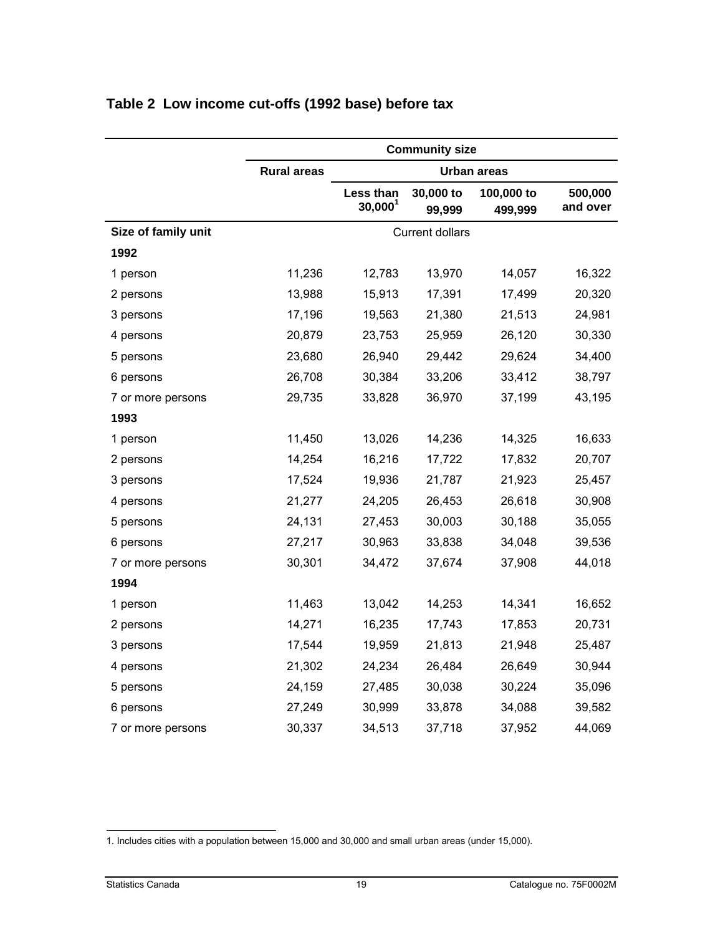|                     | <b>Community size</b> |                                  |                        |                       |                     |
|---------------------|-----------------------|----------------------------------|------------------------|-----------------------|---------------------|
|                     | <b>Rural areas</b>    |                                  |                        | Urban areas           |                     |
|                     |                       | Less than<br>30,000 <sup>1</sup> | 30,000 to<br>99,999    | 100,000 to<br>499,999 | 500,000<br>and over |
| Size of family unit |                       |                                  | <b>Current dollars</b> |                       |                     |
| 1992                |                       |                                  |                        |                       |                     |
| 1 person            | 11,236                | 12,783                           | 13,970                 | 14,057                | 16,322              |
| 2 persons           | 13,988                | 15,913                           | 17,391                 | 17,499                | 20,320              |
| 3 persons           | 17,196                | 19,563                           | 21,380                 | 21,513                | 24,981              |
| 4 persons           | 20,879                | 23,753                           | 25,959                 | 26,120                | 30,330              |
| 5 persons           | 23,680                | 26,940                           | 29,442                 | 29,624                | 34,400              |
| 6 persons           | 26,708                | 30,384                           | 33,206                 | 33,412                | 38,797              |
| 7 or more persons   | 29,735                | 33,828                           | 36,970                 | 37,199                | 43,195              |
| 1993                |                       |                                  |                        |                       |                     |
| 1 person            | 11,450                | 13,026                           | 14,236                 | 14,325                | 16,633              |
| 2 persons           | 14,254                | 16,216                           | 17,722                 | 17,832                | 20,707              |
| 3 persons           | 17,524                | 19,936                           | 21,787                 | 21,923                | 25,457              |
| 4 persons           | 21,277                | 24,205                           | 26,453                 | 26,618                | 30,908              |
| 5 persons           | 24,131                | 27,453                           | 30,003                 | 30,188                | 35,055              |
| 6 persons           | 27,217                | 30,963                           | 33,838                 | 34,048                | 39,536              |
| 7 or more persons   | 30,301                | 34,472                           | 37,674                 | 37,908                | 44,018              |
| 1994                |                       |                                  |                        |                       |                     |
| 1 person            | 11,463                | 13,042                           | 14,253                 | 14,341                | 16,652              |
| 2 persons           | 14,271                | 16,235                           | 17,743                 | 17,853                | 20,731              |
| 3 persons           | 17,544                | 19,959                           | 21,813                 | 21,948                | 25,487              |
| 4 persons           | 21,302                | 24,234                           | 26,484                 | 26,649                | 30,944              |
| 5 persons           | 24,159                | 27,485                           | 30,038                 | 30,224                | 35,096              |
| 6 persons           | 27,249                | 30,999                           | 33,878                 | 34,088                | 39,582              |
| 7 or more persons   | 30,337                | 34,513                           | 37,718                 | 37,952                | 44,069              |

#### <span id="page-18-0"></span>**Table 2 Low income cut-offs (1992 base) before tax**

<sup>-</sup>1. Includes cities with a population between 15,000 and 30,000 and small urban areas (under 15,000).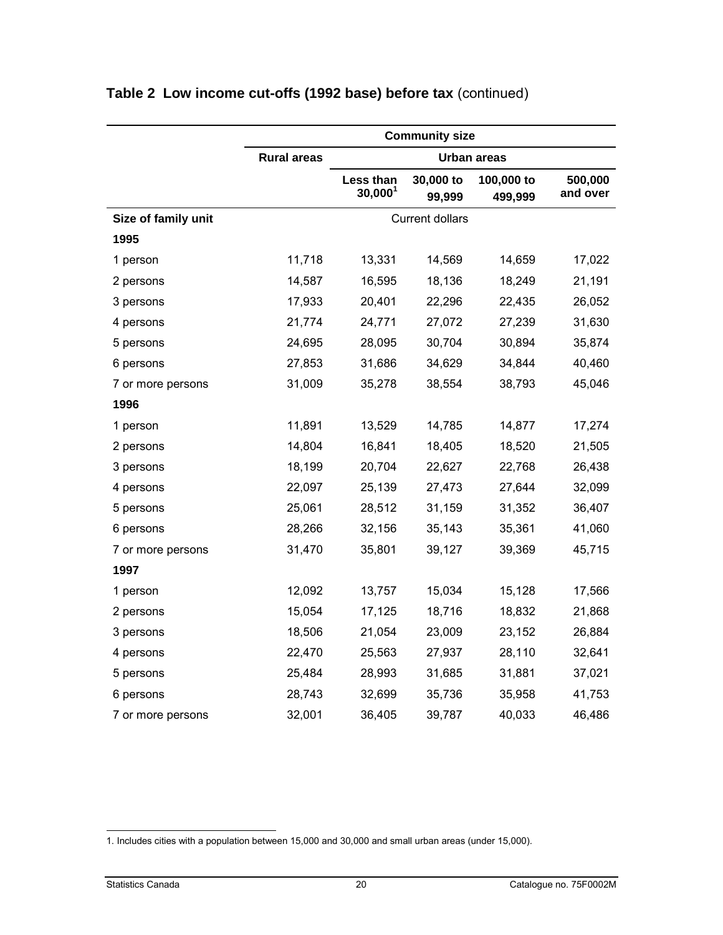|                     |                    |                         | <b>Community size</b> |                       |                     |  |  |  |
|---------------------|--------------------|-------------------------|-----------------------|-----------------------|---------------------|--|--|--|
|                     | <b>Rural areas</b> |                         |                       | Urban areas           |                     |  |  |  |
|                     |                    | Less than<br>$30,000^1$ | 30,000 to<br>99,999   | 100,000 to<br>499,999 | 500,000<br>and over |  |  |  |
| Size of family unit |                    | <b>Current dollars</b>  |                       |                       |                     |  |  |  |
| 1995                |                    |                         |                       |                       |                     |  |  |  |
| 1 person            | 11,718             | 13,331                  | 14,569                | 14,659                | 17,022              |  |  |  |
| 2 persons           | 14,587             | 16,595                  | 18,136                | 18,249                | 21,191              |  |  |  |
| 3 persons           | 17,933             | 20,401                  | 22,296                | 22,435                | 26,052              |  |  |  |
| 4 persons           | 21,774             | 24,771                  | 27,072                | 27,239                | 31,630              |  |  |  |
| 5 persons           | 24,695             | 28,095                  | 30,704                | 30,894                | 35,874              |  |  |  |
| 6 persons           | 27,853             | 31,686                  | 34,629                | 34,844                | 40,460              |  |  |  |
| 7 or more persons   | 31,009             | 35,278                  | 38,554                | 38,793                | 45,046              |  |  |  |
| 1996                |                    |                         |                       |                       |                     |  |  |  |
| 1 person            | 11,891             | 13,529                  | 14,785                | 14,877                | 17,274              |  |  |  |
| 2 persons           | 14,804             | 16,841                  | 18,405                | 18,520                | 21,505              |  |  |  |
| 3 persons           | 18,199             | 20,704                  | 22,627                | 22,768                | 26,438              |  |  |  |
| 4 persons           | 22,097             | 25,139                  | 27,473                | 27,644                | 32,099              |  |  |  |
| 5 persons           | 25,061             | 28,512                  | 31,159                | 31,352                | 36,407              |  |  |  |
| 6 persons           | 28,266             | 32,156                  | 35,143                | 35,361                | 41,060              |  |  |  |
| 7 or more persons   | 31,470             | 35,801                  | 39,127                | 39,369                | 45,715              |  |  |  |
| 1997                |                    |                         |                       |                       |                     |  |  |  |
| 1 person            | 12,092             | 13,757                  | 15,034                | 15,128                | 17,566              |  |  |  |
| 2 persons           | 15,054             | 17,125                  | 18,716                | 18,832                | 21,868              |  |  |  |
| 3 persons           | 18,506             | 21,054                  | 23,009                | 23,152                | 26,884              |  |  |  |
| 4 persons           | 22,470             | 25,563                  | 27,937                | 28,110                | 32,641              |  |  |  |
| 5 persons           | 25,484             | 28,993                  | 31,685                | 31,881                | 37,021              |  |  |  |
| 6 persons           | 28,743             | 32,699                  | 35,736                | 35,958                | 41,753              |  |  |  |
| 7 or more persons   | 32,001             | 36,405                  | 39,787                | 40,033                | 46,486              |  |  |  |

<sup>-</sup>1. Includes cities with a population between 15,000 and 30,000 and small urban areas (under 15,000).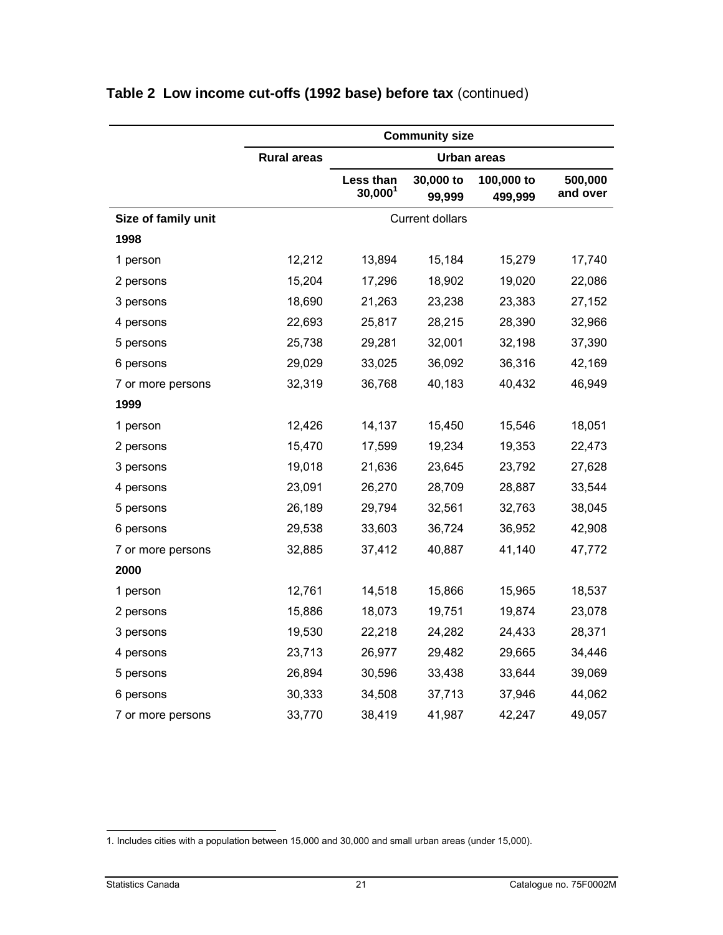|                     |                    |                         | <b>Community size</b>  |                       |                     |
|---------------------|--------------------|-------------------------|------------------------|-----------------------|---------------------|
|                     | <b>Rural areas</b> |                         |                        | <b>Urban areas</b>    |                     |
|                     |                    | Less than<br>$30,000^1$ | 30,000 to<br>99,999    | 100,000 to<br>499,999 | 500,000<br>and over |
| Size of family unit |                    |                         | <b>Current dollars</b> |                       |                     |
| 1998                |                    |                         |                        |                       |                     |
| 1 person            | 12,212             | 13,894                  | 15,184                 | 15,279                | 17,740              |
| 2 persons           | 15,204             | 17,296                  | 18,902                 | 19,020                | 22,086              |
| 3 persons           | 18,690             | 21,263                  | 23,238                 | 23,383                | 27,152              |
| 4 persons           | 22,693             | 25,817                  | 28,215                 | 28,390                | 32,966              |
| 5 persons           | 25,738             | 29,281                  | 32,001                 | 32,198                | 37,390              |
| 6 persons           | 29,029             | 33,025                  | 36,092                 | 36,316                | 42,169              |
| 7 or more persons   | 32,319             | 36,768                  | 40,183                 | 40,432                | 46,949              |
| 1999                |                    |                         |                        |                       |                     |
| 1 person            | 12,426             | 14,137                  | 15,450                 | 15,546                | 18,051              |
| 2 persons           | 15,470             | 17,599                  | 19,234                 | 19,353                | 22,473              |
| 3 persons           | 19,018             | 21,636                  | 23,645                 | 23,792                | 27,628              |
| 4 persons           | 23,091             | 26,270                  | 28,709                 | 28,887                | 33,544              |
| 5 persons           | 26,189             | 29,794                  | 32,561                 | 32,763                | 38,045              |
| 6 persons           | 29,538             | 33,603                  | 36,724                 | 36,952                | 42,908              |
| 7 or more persons   | 32,885             | 37,412                  | 40,887                 | 41,140                | 47,772              |
| 2000                |                    |                         |                        |                       |                     |
| 1 person            | 12,761             | 14,518                  | 15,866                 | 15,965                | 18,537              |
| 2 persons           | 15,886             | 18,073                  | 19,751                 | 19,874                | 23,078              |
| 3 persons           | 19,530             | 22,218                  | 24,282                 | 24,433                | 28,371              |
| 4 persons           | 23,713             | 26,977                  | 29,482                 | 29,665                | 34,446              |
| 5 persons           | 26,894             | 30,596                  | 33,438                 | 33,644                | 39,069              |
| 6 persons           | 30,333             | 34,508                  | 37,713                 | 37,946                | 44,062              |
| 7 or more persons   | 33,770             | 38,419                  | 41,987                 | 42,247                | 49,057              |

<sup>-</sup>1. Includes cities with a population between 15,000 and 30,000 and small urban areas (under 15,000).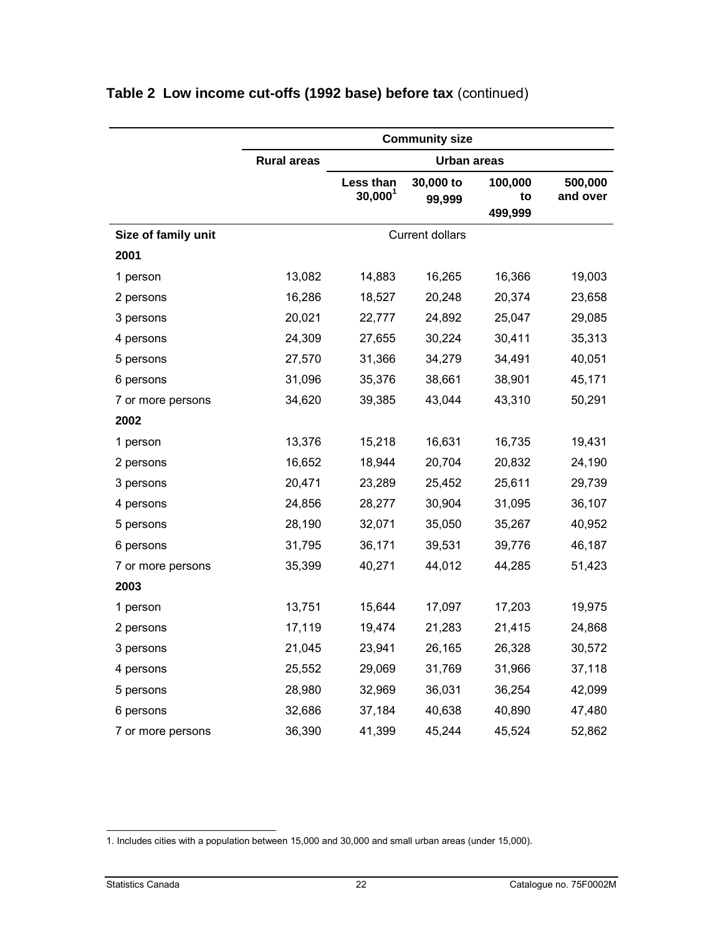|                     |                    |                         | <b>Community size</b>  |                          |                     |
|---------------------|--------------------|-------------------------|------------------------|--------------------------|---------------------|
|                     | <b>Rural areas</b> |                         | <b>Urban areas</b>     |                          |                     |
|                     |                    | Less than<br>$30,000^1$ | 30,000 to<br>99,999    | 100,000<br>to<br>499,999 | 500,000<br>and over |
| Size of family unit |                    |                         | <b>Current dollars</b> |                          |                     |
| 2001                |                    |                         |                        |                          |                     |
| 1 person            | 13,082             | 14,883                  | 16,265                 | 16,366                   | 19,003              |
| 2 persons           | 16,286             | 18,527                  | 20,248                 | 20,374                   | 23,658              |
| 3 persons           | 20,021             | 22,777                  | 24,892                 | 25,047                   | 29,085              |
| 4 persons           | 24,309             | 27,655                  | 30,224                 | 30,411                   | 35,313              |
| 5 persons           | 27,570             | 31,366                  | 34,279                 | 34,491                   | 40,051              |
| 6 persons           | 31,096             | 35,376                  | 38,661                 | 38,901                   | 45,171              |
| 7 or more persons   | 34,620             | 39,385                  | 43,044                 | 43,310                   | 50,291              |
| 2002                |                    |                         |                        |                          |                     |
| 1 person            | 13,376             | 15,218                  | 16,631                 | 16,735                   | 19,431              |
| 2 persons           | 16,652             | 18,944                  | 20,704                 | 20,832                   | 24,190              |
| 3 persons           | 20,471             | 23,289                  | 25,452                 | 25,611                   | 29,739              |
| 4 persons           | 24,856             | 28,277                  | 30,904                 | 31,095                   | 36,107              |
| 5 persons           | 28,190             | 32,071                  | 35,050                 | 35,267                   | 40,952              |
| 6 persons           | 31,795             | 36,171                  | 39,531                 | 39,776                   | 46,187              |
| 7 or more persons   | 35,399             | 40,271                  | 44,012                 | 44,285                   | 51,423              |
| 2003                |                    |                         |                        |                          |                     |
| 1 person            | 13,751             | 15,644                  | 17,097                 | 17,203                   | 19,975              |
| 2 persons           | 17,119             | 19,474                  | 21,283                 | 21,415                   | 24,868              |
| 3 persons           | 21,045             | 23,941                  | 26,165                 | 26,328                   | 30,572              |
| 4 persons           | 25,552             | 29,069                  | 31,769                 | 31,966                   | 37,118              |
| 5 persons           | 28,980             | 32,969                  | 36,031                 | 36,254                   | 42,099              |
| 6 persons           | 32,686             | 37,184                  | 40,638                 | 40,890                   | 47,480              |
| 7 or more persons   | 36,390             | 41,399                  | 45,244                 | 45,524                   | 52,862              |

<sup>-</sup>1. Includes cities with a population between 15,000 and 30,000 and small urban areas (under 15,000).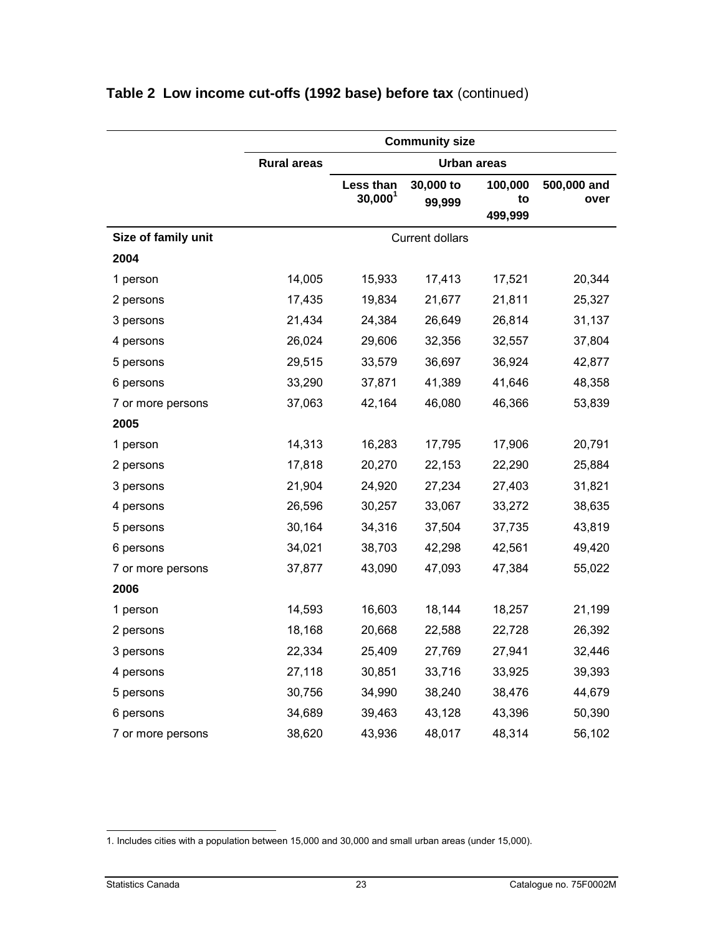|                     |                    |                         | <b>Community size</b>  |               |                     |
|---------------------|--------------------|-------------------------|------------------------|---------------|---------------------|
|                     | <b>Rural areas</b> |                         | Urban areas            |               |                     |
|                     |                    | Less than<br>$30,000^1$ | 30,000 to<br>99,999    | 100,000<br>to | 500,000 and<br>over |
|                     |                    |                         |                        | 499,999       |                     |
| Size of family unit |                    |                         | <b>Current dollars</b> |               |                     |
| 2004                |                    |                         |                        |               |                     |
| 1 person            | 14,005             | 15,933                  | 17,413                 | 17,521        | 20,344              |
| 2 persons           | 17,435             | 19,834                  | 21,677                 | 21,811        | 25,327              |
| 3 persons           | 21,434             | 24,384                  | 26,649                 | 26,814        | 31,137              |
| 4 persons           | 26,024             | 29,606                  | 32,356                 | 32,557        | 37,804              |
| 5 persons           | 29,515             | 33,579                  | 36,697                 | 36,924        | 42,877              |
| 6 persons           | 33,290             | 37,871                  | 41,389                 | 41,646        | 48,358              |
| 7 or more persons   | 37,063             | 42,164                  | 46,080                 | 46,366        | 53,839              |
| 2005                |                    |                         |                        |               |                     |
| 1 person            | 14,313             | 16,283                  | 17,795                 | 17,906        | 20,791              |
| 2 persons           | 17,818             | 20,270                  | 22,153                 | 22,290        | 25,884              |
| 3 persons           | 21,904             | 24,920                  | 27,234                 | 27,403        | 31,821              |
| 4 persons           | 26,596             | 30,257                  | 33,067                 | 33,272        | 38,635              |
| 5 persons           | 30,164             | 34,316                  | 37,504                 | 37,735        | 43,819              |
| 6 persons           | 34,021             | 38,703                  | 42,298                 | 42,561        | 49,420              |
| 7 or more persons   | 37,877             | 43,090                  | 47,093                 | 47,384        | 55,022              |
| 2006                |                    |                         |                        |               |                     |
| 1 person            | 14,593             | 16,603                  | 18,144                 | 18,257        | 21,199              |
| 2 persons           | 18,168             | 20,668                  | 22,588                 | 22,728        | 26,392              |
| 3 persons           | 22,334             | 25,409                  | 27,769                 | 27,941        | 32,446              |
| 4 persons           | 27,118             | 30,851                  | 33,716                 | 33,925        | 39,393              |
| 5 persons           | 30,756             | 34,990                  | 38,240                 | 38,476        | 44,679              |
| 6 persons           | 34,689             | 39,463                  | 43,128                 | 43,396        | 50,390              |
| 7 or more persons   | 38,620             | 43,936                  | 48,017                 | 48,314        | 56,102              |

<sup>-</sup>1. Includes cities with a population between 15,000 and 30,000 and small urban areas (under 15,000).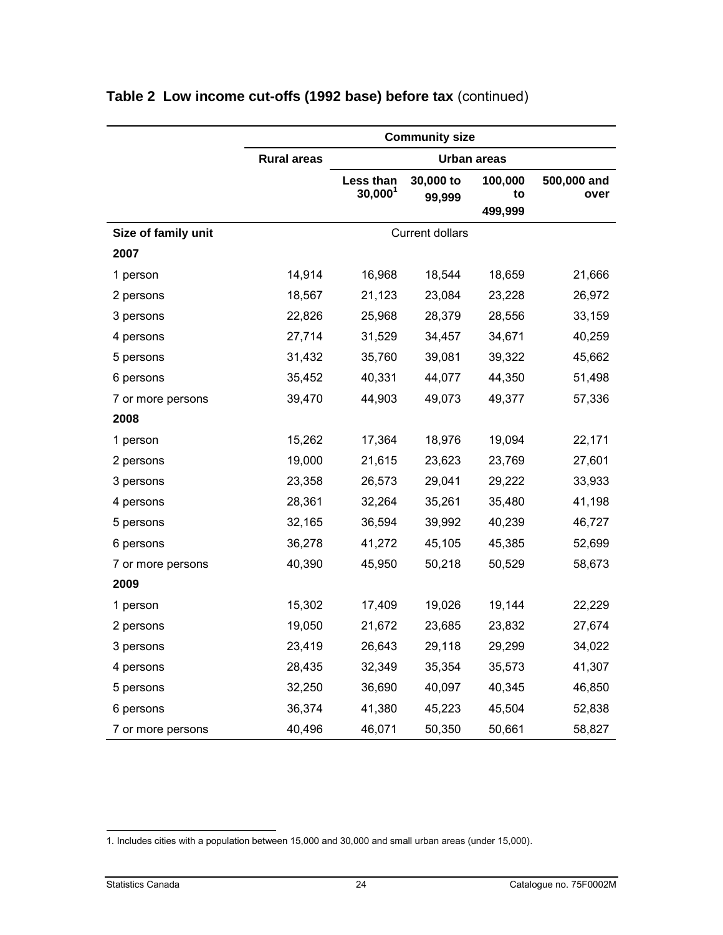|                     |                    |                         | <b>Community size</b>  |               |                     |
|---------------------|--------------------|-------------------------|------------------------|---------------|---------------------|
|                     | <b>Rural areas</b> |                         |                        | Urban areas   |                     |
|                     |                    | Less than<br>$30,000^1$ | 30,000 to<br>99,999    | 100,000<br>to | 500,000 and<br>over |
|                     |                    |                         |                        | 499,999       |                     |
| Size of family unit |                    |                         | <b>Current dollars</b> |               |                     |
| 2007                |                    |                         |                        |               |                     |
| 1 person            | 14,914             | 16,968                  | 18,544                 | 18,659        | 21,666              |
| 2 persons           | 18,567             | 21,123                  | 23,084                 | 23,228        | 26,972              |
| 3 persons           | 22,826             | 25,968                  | 28,379                 | 28,556        | 33,159              |
| 4 persons           | 27,714             | 31,529                  | 34,457                 | 34,671        | 40,259              |
| 5 persons           | 31,432             | 35,760                  | 39,081                 | 39,322        | 45,662              |
| 6 persons           | 35,452             | 40,331                  | 44,077                 | 44,350        | 51,498              |
| 7 or more persons   | 39,470             | 44,903                  | 49,073                 | 49,377        | 57,336              |
| 2008                |                    |                         |                        |               |                     |
| 1 person            | 15,262             | 17,364                  | 18,976                 | 19,094        | 22,171              |
| 2 persons           | 19,000             | 21,615                  | 23,623                 | 23,769        | 27,601              |
| 3 persons           | 23,358             | 26,573                  | 29,041                 | 29,222        | 33,933              |
| 4 persons           | 28,361             | 32,264                  | 35,261                 | 35,480        | 41,198              |
| 5 persons           | 32,165             | 36,594                  | 39,992                 | 40,239        | 46,727              |
| 6 persons           | 36,278             | 41,272                  | 45,105                 | 45,385        | 52,699              |
| 7 or more persons   | 40,390             | 45,950                  | 50,218                 | 50,529        | 58,673              |
| 2009                |                    |                         |                        |               |                     |
| 1 person            | 15,302             | 17,409                  | 19,026                 | 19,144        | 22,229              |
| 2 persons           | 19,050             | 21,672                  | 23,685                 | 23,832        | 27,674              |
| 3 persons           | 23,419             | 26,643                  | 29,118                 | 29,299        | 34,022              |
| 4 persons           | 28,435             | 32,349                  | 35,354                 | 35,573        | 41,307              |
| 5 persons           | 32,250             | 36,690                  | 40,097                 | 40,345        | 46,850              |
| 6 persons           | 36,374             | 41,380                  | 45,223                 | 45,504        | 52,838              |
| 7 or more persons   | 40,496             | 46,071                  | 50,350                 | 50,661        | 58,827              |

<sup>-</sup>1. Includes cities with a population between 15,000 and 30,000 and small urban areas (under 15,000).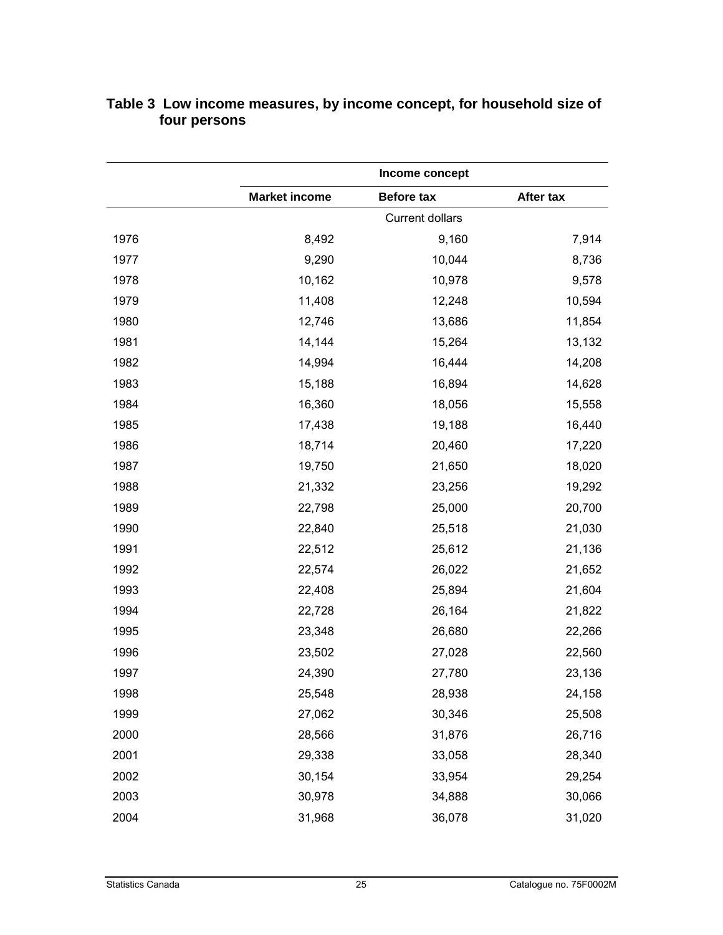|      |                      | Income concept         |           |  |  |  |  |
|------|----------------------|------------------------|-----------|--|--|--|--|
|      | <b>Market income</b> | <b>Before tax</b>      | After tax |  |  |  |  |
|      |                      | <b>Current dollars</b> |           |  |  |  |  |
| 1976 | 8,492                | 9,160                  | 7,914     |  |  |  |  |
| 1977 | 9,290                | 10,044                 | 8,736     |  |  |  |  |
| 1978 | 10,162               | 10,978                 | 9,578     |  |  |  |  |
| 1979 | 11,408               | 12,248                 | 10,594    |  |  |  |  |
| 1980 | 12,746               | 13,686                 | 11,854    |  |  |  |  |
| 1981 | 14,144               | 15,264                 | 13,132    |  |  |  |  |
| 1982 | 14,994               | 16,444                 | 14,208    |  |  |  |  |
| 1983 | 15,188               | 16,894                 | 14,628    |  |  |  |  |
| 1984 | 16,360               | 18,056                 | 15,558    |  |  |  |  |
| 1985 | 17,438               | 19,188                 | 16,440    |  |  |  |  |
| 1986 | 18,714               | 20,460                 | 17,220    |  |  |  |  |
| 1987 | 19,750               | 21,650                 | 18,020    |  |  |  |  |
| 1988 | 21,332               | 23,256                 | 19,292    |  |  |  |  |
| 1989 | 22,798               | 25,000                 | 20,700    |  |  |  |  |
| 1990 | 22,840               | 25,518                 | 21,030    |  |  |  |  |
| 1991 | 22,512               | 25,612                 | 21,136    |  |  |  |  |
| 1992 | 22,574               | 26,022                 | 21,652    |  |  |  |  |
| 1993 | 22,408               | 25,894                 | 21,604    |  |  |  |  |
| 1994 | 22,728               | 26,164                 | 21,822    |  |  |  |  |
| 1995 | 23,348               | 26,680                 | 22,266    |  |  |  |  |
| 1996 | 23,502               | 27,028                 | 22,560    |  |  |  |  |
| 1997 | 24,390               | 27,780                 | 23,136    |  |  |  |  |
| 1998 | 25,548               | 28,938                 | 24,158    |  |  |  |  |
| 1999 | 27,062               | 30,346                 | 25,508    |  |  |  |  |
| 2000 | 28,566               | 31,876                 | 26,716    |  |  |  |  |
| 2001 | 29,338               | 33,058                 | 28,340    |  |  |  |  |
| 2002 | 30,154               | 33,954                 | 29,254    |  |  |  |  |
| 2003 | 30,978               | 34,888                 | 30,066    |  |  |  |  |
| 2004 | 31,968               | 36,078                 | 31,020    |  |  |  |  |

#### <span id="page-24-0"></span>**Table 3 Low income measures, by income concept, for household size of four persons**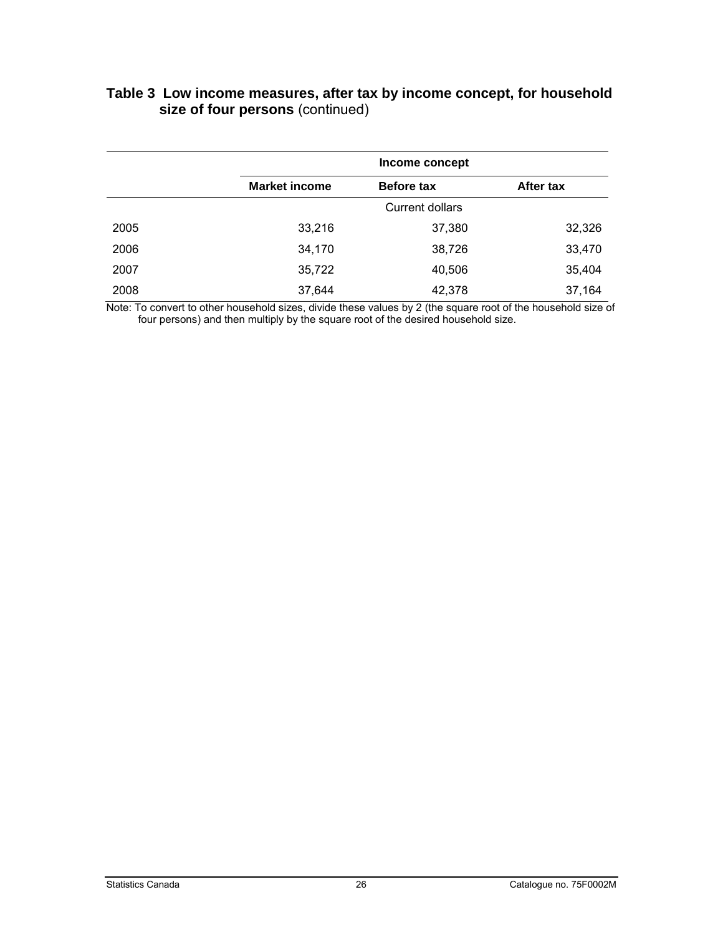|      |                      | Income concept         |           |  |  |  |  |  |
|------|----------------------|------------------------|-----------|--|--|--|--|--|
|      | <b>Market income</b> | <b>Before tax</b>      | After tax |  |  |  |  |  |
|      |                      | <b>Current dollars</b> |           |  |  |  |  |  |
| 2005 | 33,216               | 37,380                 | 32,326    |  |  |  |  |  |
| 2006 | 34,170               | 38,726                 | 33,470    |  |  |  |  |  |
| 2007 | 35,722               | 40,506                 | 35,404    |  |  |  |  |  |
| 2008 | 37,644               | 42,378                 | 37,164    |  |  |  |  |  |

#### **Table 3 Low income measures, after tax by income concept, for household size of four persons** (continued)

Note: To convert to other household sizes, divide these values by 2 (the square root of the household size of four persons) and then multiply by the square root of the desired household size.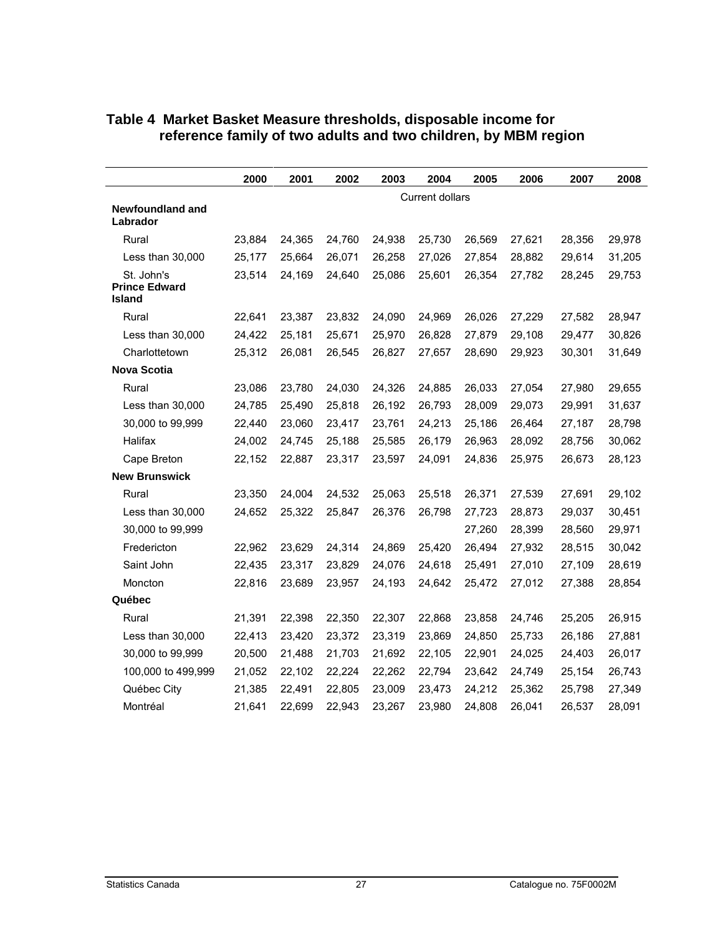|                                       | 2000            | 2001   | 2002   | 2003   | 2004   | 2005   | 2006   | 2007   | 2008   |
|---------------------------------------|-----------------|--------|--------|--------|--------|--------|--------|--------|--------|
|                                       | Current dollars |        |        |        |        |        |        |        |        |
| Newfoundland and<br>Labrador          |                 |        |        |        |        |        |        |        |        |
| Rural                                 | 23,884          | 24,365 | 24,760 | 24,938 | 25,730 | 26,569 | 27,621 | 28,356 | 29,978 |
| Less than 30,000                      | 25,177          | 25,664 | 26,071 | 26,258 | 27,026 | 27,854 | 28,882 | 29,614 | 31,205 |
| St. John's                            | 23,514          | 24,169 | 24,640 | 25,086 | 25,601 | 26,354 | 27,782 | 28,245 | 29,753 |
| <b>Prince Edward</b><br><b>Island</b> |                 |        |        |        |        |        |        |        |        |
| Rural                                 | 22,641          | 23,387 | 23,832 | 24,090 | 24,969 | 26,026 | 27,229 | 27,582 | 28,947 |
| Less than 30,000                      | 24,422          | 25,181 | 25,671 | 25,970 | 26,828 | 27,879 | 29,108 | 29,477 | 30,826 |
| Charlottetown                         | 25,312          | 26,081 | 26,545 | 26,827 | 27,657 | 28,690 | 29,923 | 30,301 | 31,649 |
| <b>Nova Scotia</b>                    |                 |        |        |        |        |        |        |        |        |
| Rural                                 | 23,086          | 23,780 | 24,030 | 24,326 | 24,885 | 26,033 | 27,054 | 27,980 | 29,655 |
| Less than 30,000                      | 24,785          | 25,490 | 25,818 | 26,192 | 26,793 | 28,009 | 29,073 | 29,991 | 31,637 |
| 30,000 to 99,999                      | 22,440          | 23,060 | 23,417 | 23,761 | 24,213 | 25,186 | 26,464 | 27,187 | 28,798 |
| Halifax                               | 24,002          | 24,745 | 25,188 | 25,585 | 26,179 | 26,963 | 28,092 | 28,756 | 30,062 |
| Cape Breton                           | 22,152          | 22,887 | 23,317 | 23,597 | 24,091 | 24,836 | 25,975 | 26,673 | 28,123 |
| <b>New Brunswick</b>                  |                 |        |        |        |        |        |        |        |        |
| Rural                                 | 23,350          | 24,004 | 24,532 | 25,063 | 25,518 | 26,371 | 27,539 | 27,691 | 29,102 |
| Less than 30,000                      | 24,652          | 25,322 | 25,847 | 26,376 | 26,798 | 27,723 | 28,873 | 29,037 | 30,451 |
| 30,000 to 99,999                      |                 |        |        |        |        | 27,260 | 28,399 | 28,560 | 29,971 |
| Fredericton                           | 22,962          | 23,629 | 24,314 | 24,869 | 25,420 | 26,494 | 27,932 | 28,515 | 30,042 |
| Saint John                            | 22,435          | 23,317 | 23,829 | 24,076 | 24,618 | 25,491 | 27,010 | 27,109 | 28,619 |
| Moncton                               | 22,816          | 23,689 | 23,957 | 24,193 | 24,642 | 25,472 | 27,012 | 27,388 | 28,854 |
| Québec                                |                 |        |        |        |        |        |        |        |        |
| Rural                                 | 21,391          | 22,398 | 22,350 | 22,307 | 22,868 | 23,858 | 24,746 | 25,205 | 26,915 |
| Less than 30,000                      | 22,413          | 23,420 | 23,372 | 23,319 | 23,869 | 24,850 | 25,733 | 26,186 | 27,881 |
| 30,000 to 99,999                      | 20,500          | 21,488 | 21,703 | 21,692 | 22,105 | 22,901 | 24,025 | 24,403 | 26,017 |
| 100,000 to 499,999                    | 21,052          | 22,102 | 22,224 | 22,262 | 22,794 | 23,642 | 24,749 | 25,154 | 26,743 |
| Québec City                           | 21,385          | 22,491 | 22,805 | 23,009 | 23,473 | 24,212 | 25,362 | 25,798 | 27,349 |
| Montréal                              | 21,641          | 22,699 | 22,943 | 23,267 | 23,980 | 24,808 | 26,041 | 26,537 | 28,091 |

#### <span id="page-26-0"></span>**Table 4 Market Basket Measure thresholds, disposable income for reference family of two adults and two children, by MBM region**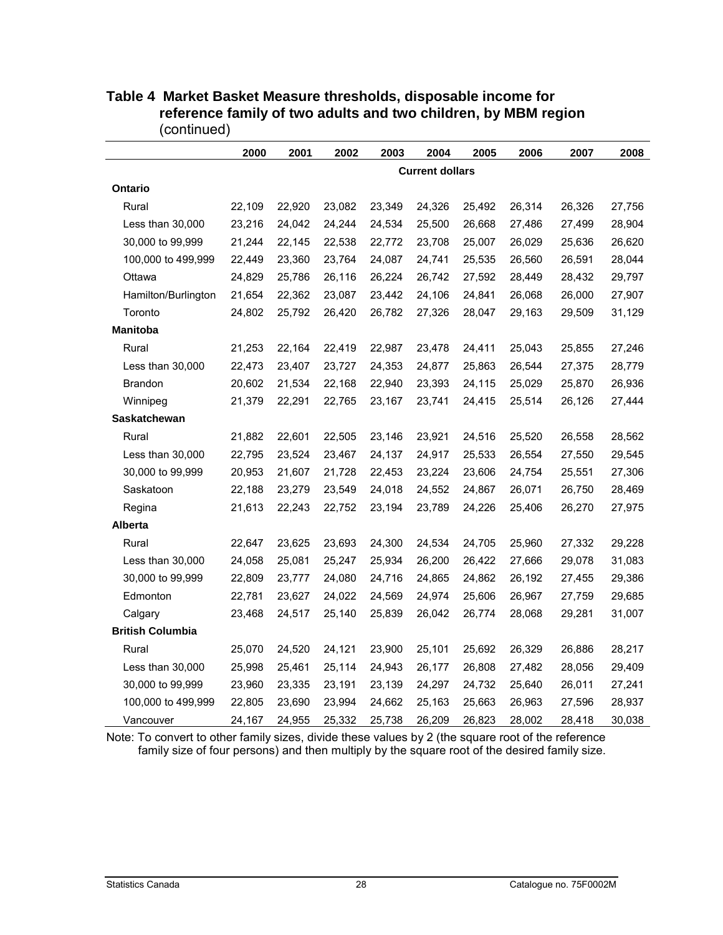|                         | 2000                   | 2001   | 2002   | 2003   | 2004   | 2005   | 2006   | 2007   | 2008   |
|-------------------------|------------------------|--------|--------|--------|--------|--------|--------|--------|--------|
|                         | <b>Current dollars</b> |        |        |        |        |        |        |        |        |
| Ontario                 |                        |        |        |        |        |        |        |        |        |
| Rural                   | 22,109                 | 22,920 | 23,082 | 23,349 | 24,326 | 25,492 | 26,314 | 26,326 | 27,756 |
| Less than 30,000        | 23,216                 | 24,042 | 24,244 | 24,534 | 25,500 | 26,668 | 27,486 | 27,499 | 28,904 |
| 30,000 to 99,999        | 21,244                 | 22,145 | 22,538 | 22,772 | 23,708 | 25,007 | 26,029 | 25,636 | 26,620 |
| 100,000 to 499,999      | 22,449                 | 23,360 | 23,764 | 24,087 | 24,741 | 25,535 | 26,560 | 26,591 | 28,044 |
| Ottawa                  | 24,829                 | 25,786 | 26,116 | 26,224 | 26,742 | 27,592 | 28,449 | 28,432 | 29,797 |
| Hamilton/Burlington     | 21,654                 | 22,362 | 23,087 | 23,442 | 24,106 | 24,841 | 26,068 | 26,000 | 27,907 |
| Toronto                 | 24,802                 | 25,792 | 26,420 | 26,782 | 27,326 | 28,047 | 29,163 | 29,509 | 31,129 |
| <b>Manitoba</b>         |                        |        |        |        |        |        |        |        |        |
| Rural                   | 21,253                 | 22,164 | 22,419 | 22,987 | 23,478 | 24,411 | 25,043 | 25,855 | 27,246 |
| Less than 30,000        | 22,473                 | 23,407 | 23,727 | 24,353 | 24,877 | 25,863 | 26,544 | 27,375 | 28,779 |
| <b>Brandon</b>          | 20,602                 | 21,534 | 22,168 | 22,940 | 23,393 | 24,115 | 25,029 | 25,870 | 26,936 |
| Winnipeg                | 21,379                 | 22,291 | 22,765 | 23,167 | 23,741 | 24,415 | 25,514 | 26,126 | 27,444 |
| <b>Saskatchewan</b>     |                        |        |        |        |        |        |        |        |        |
| Rural                   | 21,882                 | 22,601 | 22,505 | 23,146 | 23,921 | 24,516 | 25,520 | 26,558 | 28,562 |
| Less than 30,000        | 22,795                 | 23,524 | 23,467 | 24,137 | 24,917 | 25,533 | 26,554 | 27,550 | 29,545 |
| 30,000 to 99,999        | 20,953                 | 21,607 | 21,728 | 22,453 | 23,224 | 23,606 | 24,754 | 25,551 | 27,306 |
| Saskatoon               | 22,188                 | 23,279 | 23,549 | 24,018 | 24,552 | 24,867 | 26,071 | 26,750 | 28,469 |
| Regina                  | 21,613                 | 22,243 | 22,752 | 23,194 | 23,789 | 24,226 | 25,406 | 26,270 | 27,975 |
| <b>Alberta</b>          |                        |        |        |        |        |        |        |        |        |
| Rural                   | 22,647                 | 23,625 | 23,693 | 24,300 | 24,534 | 24,705 | 25,960 | 27,332 | 29,228 |
| Less than 30,000        | 24,058                 | 25,081 | 25,247 | 25,934 | 26,200 | 26,422 | 27,666 | 29,078 | 31,083 |
| 30,000 to 99,999        | 22,809                 | 23,777 | 24,080 | 24,716 | 24,865 | 24,862 | 26,192 | 27,455 | 29,386 |
| Edmonton                | 22,781                 | 23,627 | 24,022 | 24,569 | 24,974 | 25,606 | 26,967 | 27,759 | 29,685 |
| Calgary                 | 23,468                 | 24,517 | 25,140 | 25,839 | 26,042 | 26,774 | 28,068 | 29,281 | 31,007 |
| <b>British Columbia</b> |                        |        |        |        |        |        |        |        |        |
| Rural                   | 25,070                 | 24,520 | 24,121 | 23,900 | 25,101 | 25,692 | 26,329 | 26,886 | 28,217 |
| Less than 30,000        | 25,998                 | 25,461 | 25,114 | 24,943 | 26,177 | 26,808 | 27,482 | 28,056 | 29,409 |
| 30,000 to 99,999        | 23,960                 | 23,335 | 23,191 | 23,139 | 24,297 | 24,732 | 25,640 | 26,011 | 27,241 |
| 100,000 to 499,999      | 22,805                 | 23,690 | 23,994 | 24,662 | 25,163 | 25,663 | 26,963 | 27,596 | 28,937 |
| Vancouver               | 24,167                 | 24,955 | 25,332 | 25,738 | 26,209 | 26,823 | 28,002 | 28,418 | 30,038 |

#### **Table 4 Market Basket Measure thresholds, disposable income for reference family of two adults and two children, by MBM region** (continued)

Note: To convert to other family sizes, divide these values by 2 (the square root of the reference family size of four persons) and then multiply by the square root of the desired family size.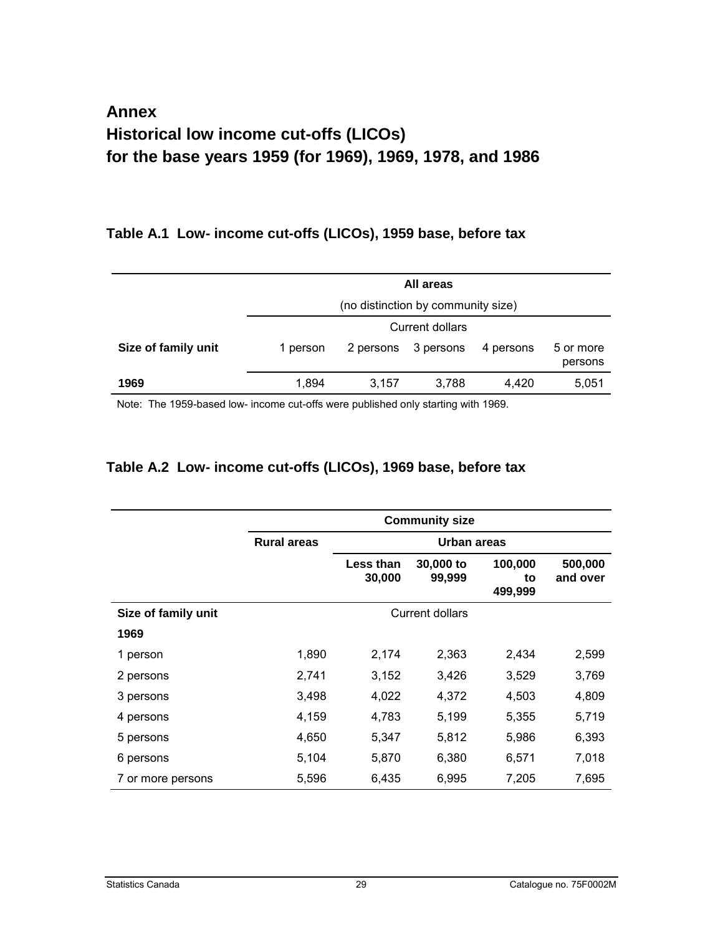### <span id="page-28-0"></span>**Annex Historical low income cut-offs (LICOs) for the base years 1959 (for 1969), 1969, 1978, and 1986**

#### **Table A.1 Low- income cut-offs (LICOs), 1959 base, before tax**

|                     |          | All areas                          |                 |           |                      |  |  |  |  |
|---------------------|----------|------------------------------------|-----------------|-----------|----------------------|--|--|--|--|
|                     |          | (no distinction by community size) |                 |           |                      |  |  |  |  |
|                     |          |                                    | Current dollars |           |                      |  |  |  |  |
| Size of family unit | 1 person | 2 persons                          | 3 persons       | 4 persons | 5 or more<br>persons |  |  |  |  |
| 1969                | 1.894    | 3.157                              | 3.788           | 4.420     | 5,051                |  |  |  |  |

Note: The 1959-based low- income cut-offs were published only starting with 1969.

### **Table A.2 Low- income cut-offs (LICOs), 1969 base, before tax**

|                     | <b>Community size</b> |                     |                        |                          |                     |  |  |  |
|---------------------|-----------------------|---------------------|------------------------|--------------------------|---------------------|--|--|--|
|                     | <b>Rural areas</b>    |                     | Urban areas            |                          |                     |  |  |  |
|                     |                       | Less than<br>30,000 | 30,000 to<br>99,999    | 100,000<br>to<br>499,999 | 500,000<br>and over |  |  |  |
| Size of family unit |                       |                     | <b>Current dollars</b> |                          |                     |  |  |  |
| 1969                |                       |                     |                        |                          |                     |  |  |  |
| 1 person            | 1,890                 | 2,174               | 2,363                  | 2,434                    | 2,599               |  |  |  |
| 2 persons           | 2,741                 | 3,152               | 3,426                  | 3,529                    | 3,769               |  |  |  |
| 3 persons           | 3,498                 | 4,022               | 4,372                  | 4,503                    | 4,809               |  |  |  |
| 4 persons           | 4,159                 | 4,783               | 5,199                  | 5,355                    | 5,719               |  |  |  |
| 5 persons           | 4,650                 | 5,347               | 5,812                  | 5,986                    | 6,393               |  |  |  |
| 6 persons           | 5,104                 | 5,870               | 6,380                  | 6,571                    | 7,018               |  |  |  |
| 7 or more persons   | 5,596                 | 6,435               | 6,995                  | 7,205                    | 7,695               |  |  |  |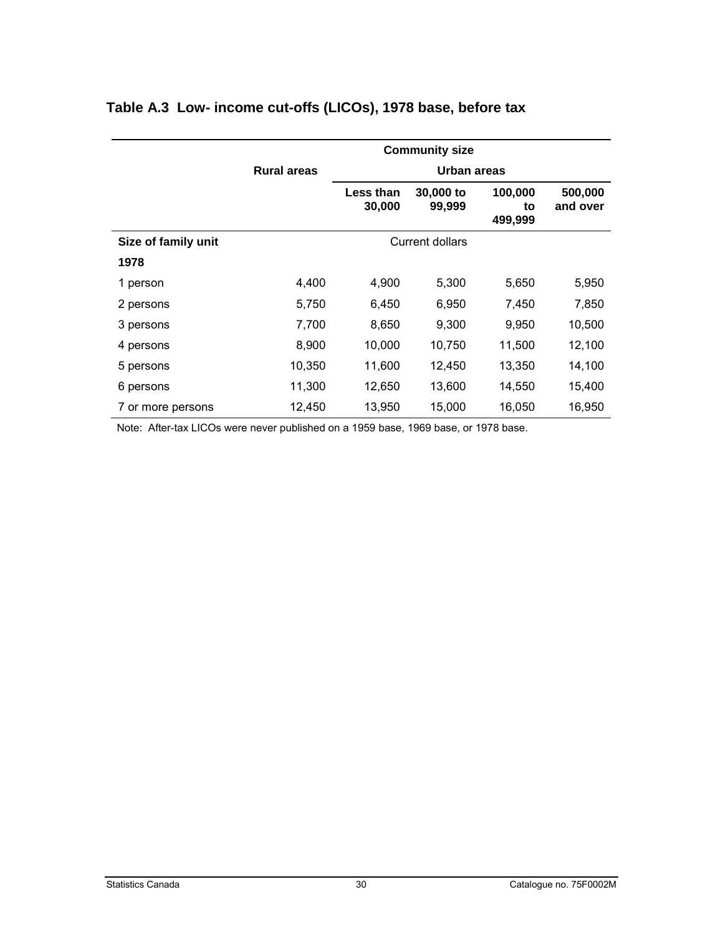|                     | <b>Community size</b> |                     |                     |                          |                     |  |  |
|---------------------|-----------------------|---------------------|---------------------|--------------------------|---------------------|--|--|
|                     | <b>Rural areas</b>    | Urban areas         |                     |                          |                     |  |  |
|                     |                       | Less than<br>30,000 | 30,000 to<br>99,999 | 100,000<br>to<br>499,999 | 500,000<br>and over |  |  |
| Size of family unit |                       |                     | Current dollars     |                          |                     |  |  |
| 1978                |                       |                     |                     |                          |                     |  |  |
| 1 person            | 4,400                 | 4,900               | 5,300               | 5,650                    | 5,950               |  |  |
| 2 persons           | 5,750                 | 6,450               | 6,950               | 7,450                    | 7,850               |  |  |
| 3 persons           | 7,700                 | 8,650               | 9,300               | 9,950                    | 10,500              |  |  |
| 4 persons           | 8,900                 | 10,000              | 10,750              | 11,500                   | 12,100              |  |  |
| 5 persons           | 10,350                | 11,600              | 12,450              | 13,350                   | 14,100              |  |  |
| 6 persons           | 11,300                | 12,650              | 13,600              | 14,550                   | 15,400              |  |  |
| 7 or more persons   | 12,450                | 13,950              | 15,000              | 16,050                   | 16,950              |  |  |

### <span id="page-29-0"></span>**Table A.3 Low- income cut-offs (LICOs), 1978 base, before tax**

Note: After-tax LICOs were never published on a 1959 base, 1969 base, or 1978 base.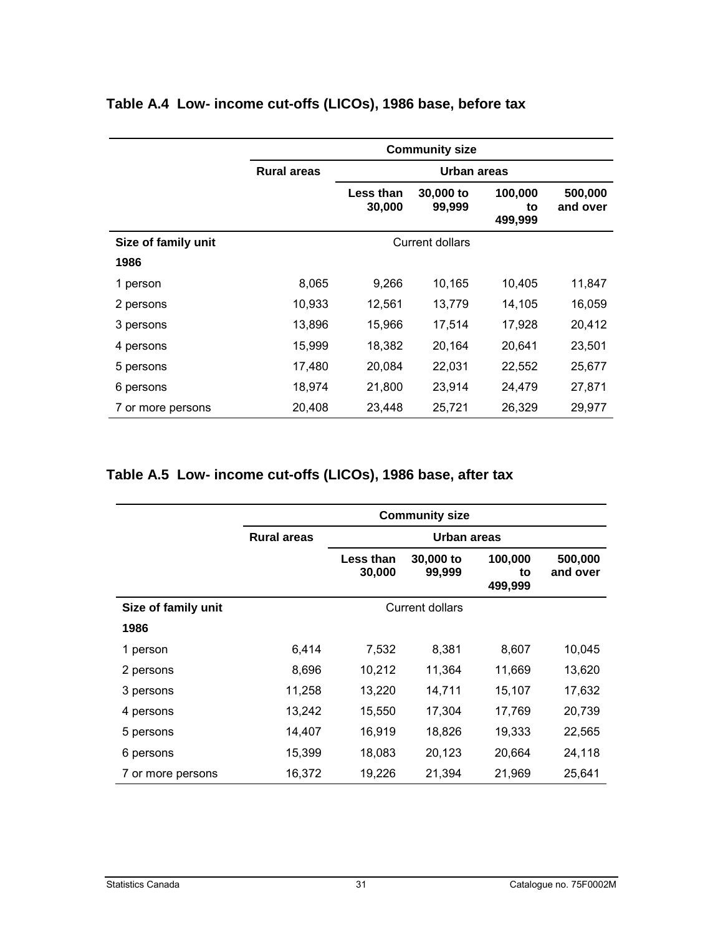|                     | <b>Community size</b> |                     |                     |                          |                     |  |  |  |
|---------------------|-----------------------|---------------------|---------------------|--------------------------|---------------------|--|--|--|
|                     | <b>Rural areas</b>    | Urban areas         |                     |                          |                     |  |  |  |
|                     |                       | Less than<br>30,000 | 30,000 to<br>99,999 | 100,000<br>to<br>499,999 | 500,000<br>and over |  |  |  |
| Size of family unit |                       |                     | Current dollars     |                          |                     |  |  |  |
| 1986                |                       |                     |                     |                          |                     |  |  |  |
| 1 person            | 8,065                 | 9,266               | 10,165              | 10,405                   | 11,847              |  |  |  |
| 2 persons           | 10,933                | 12,561              | 13,779              | 14,105                   | 16,059              |  |  |  |
| 3 persons           | 13,896                | 15,966              | 17,514              | 17,928                   | 20,412              |  |  |  |
| 4 persons           | 15,999                | 18,382              | 20,164              | 20,641                   | 23,501              |  |  |  |
| 5 persons           | 17,480                | 20,084              | 22,031              | 22,552                   | 25,677              |  |  |  |
| 6 persons           | 18,974                | 21,800              | 23,914              | 24,479                   | 27,871              |  |  |  |
| 7 or more persons   | 20,408                | 23,448              | 25,721              | 26,329                   | 29,977              |  |  |  |

#### <span id="page-30-0"></span>**Table A.4 Low- income cut-offs (LICOs), 1986 base, before tax**

#### **Table A.5 Low- income cut-offs (LICOs), 1986 base, after tax**

|                     | <b>Community size</b> |                            |                        |                          |                     |  |  |  |
|---------------------|-----------------------|----------------------------|------------------------|--------------------------|---------------------|--|--|--|
|                     | <b>Rural areas</b>    | <b>Urban areas</b>         |                        |                          |                     |  |  |  |
|                     |                       | <b>Less than</b><br>30,000 | 30,000 to<br>99,999    | 100,000<br>to<br>499,999 | 500,000<br>and over |  |  |  |
| Size of family unit |                       |                            | <b>Current dollars</b> |                          |                     |  |  |  |
| 1986                |                       |                            |                        |                          |                     |  |  |  |
| 1 person            | 6,414                 | 7,532                      | 8,381                  | 8,607                    | 10,045              |  |  |  |
| 2 persons           | 8,696                 | 10,212                     | 11,364                 | 11,669                   | 13,620              |  |  |  |
| 3 persons           | 11,258                | 13,220                     | 14,711                 | 15,107                   | 17,632              |  |  |  |
| 4 persons           | 13,242                | 15,550                     | 17,304                 | 17,769                   | 20,739              |  |  |  |
| 5 persons           | 14,407                | 16,919                     | 18,826                 | 19,333                   | 22,565              |  |  |  |
| 6 persons           | 15,399                | 18,083                     | 20,123                 | 20,664                   | 24,118              |  |  |  |
| 7 or more persons   | 16,372                | 19,226                     | 21,394                 | 21,969                   | 25,641              |  |  |  |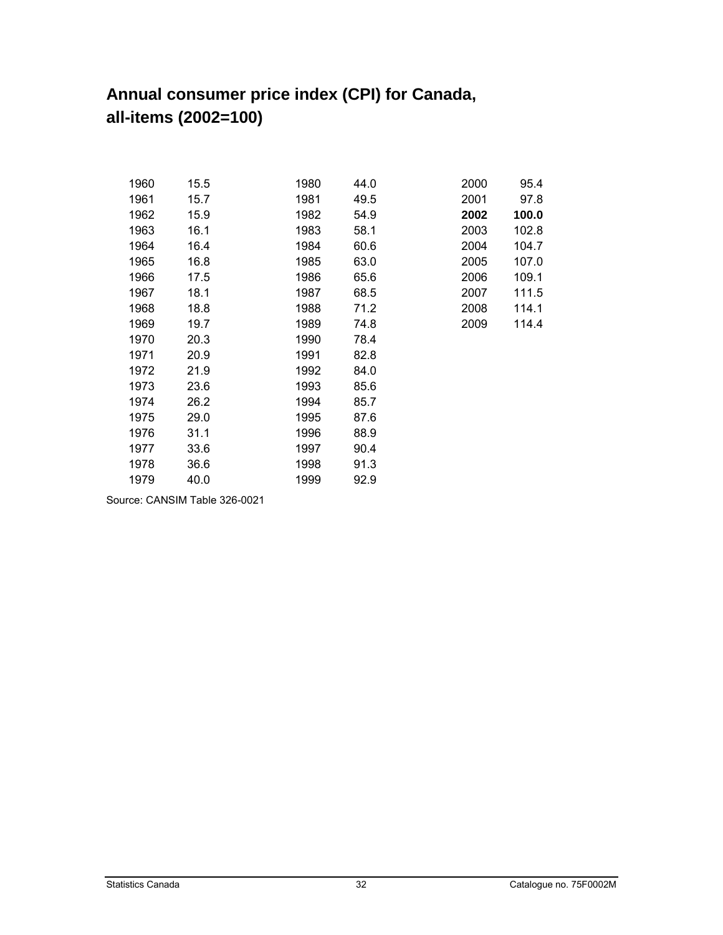# <span id="page-31-0"></span>**Annual consumer price index (CPI) for Canada, all-items (2002=100)**

| 1960 | 15.5 | 1980 | 44.0 | 2000 | 95.4  |
|------|------|------|------|------|-------|
| 1961 | 15.7 | 1981 | 49.5 | 2001 | 97.8  |
| 1962 | 15.9 | 1982 | 54.9 | 2002 | 100.0 |
| 1963 | 16.1 | 1983 | 58.1 | 2003 | 102.8 |
| 1964 | 16.4 | 1984 | 60.6 | 2004 | 104.7 |
| 1965 | 16.8 | 1985 | 63.0 | 2005 | 107.0 |
| 1966 | 17.5 | 1986 | 65.6 | 2006 | 109.1 |
| 1967 | 18.1 | 1987 | 68.5 | 2007 | 111.5 |
| 1968 | 18.8 | 1988 | 71.2 | 2008 | 114.1 |
| 1969 | 19.7 | 1989 | 74.8 | 2009 | 114.4 |
| 1970 | 20.3 | 1990 | 78.4 |      |       |
| 1971 | 20.9 | 1991 | 82.8 |      |       |
| 1972 | 21.9 | 1992 | 84.0 |      |       |
| 1973 | 23.6 | 1993 | 85.6 |      |       |
| 1974 | 26.2 | 1994 | 85.7 |      |       |
| 1975 | 29.0 | 1995 | 87.6 |      |       |
| 1976 | 31.1 | 1996 | 88.9 |      |       |
| 1977 | 33.6 | 1997 | 90.4 |      |       |
| 1978 | 36.6 | 1998 | 91.3 |      |       |
| 1979 | 40.0 | 1999 | 92.9 |      |       |

Source: CANSIM Table 326-0021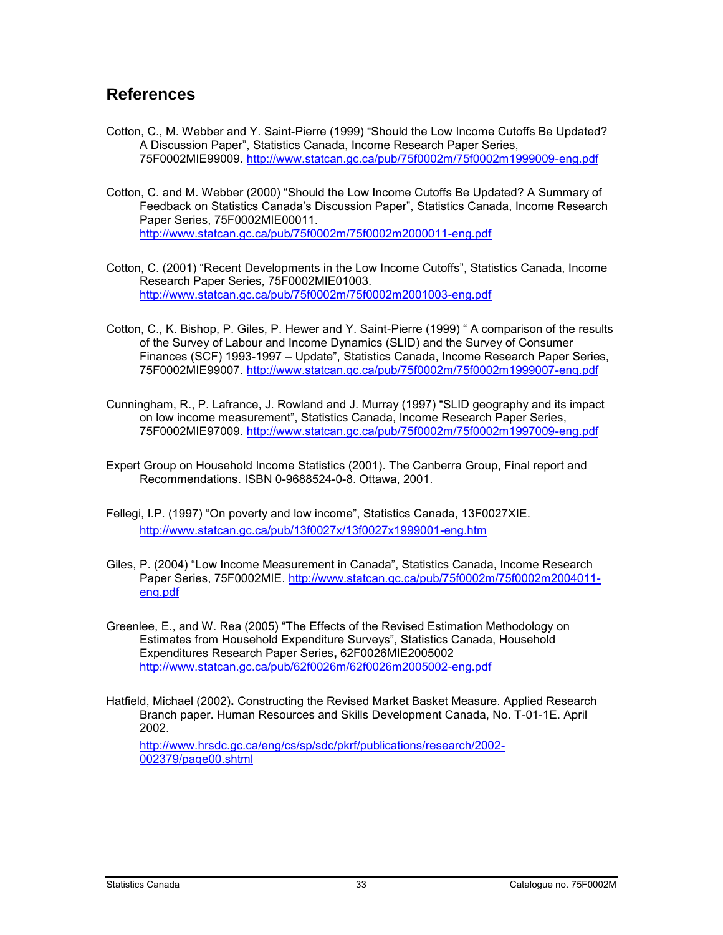#### <span id="page-32-0"></span>**References**

- Cotton, C., M. Webber and Y. Saint-Pierre (1999) "Should the Low Income Cutoffs Be Updated? A Discussion Paper", Statistics Canada, Income Research Paper Series, 75F0002MIE99009.<http://www.statcan.gc.ca/pub/75f0002m/75f0002m1999009-eng.pdf>
- Cotton, C. and M. Webber (2000) "Should the Low Income Cutoffs Be Updated? A Summary of Feedback on Statistics Canada's Discussion Paper", Statistics Canada, Income Research Paper Series, 75F0002MIE00011. <http://www.statcan.gc.ca/pub/75f0002m/75f0002m2000011-eng.pdf>
- Cotton, C. (2001) "Recent Developments in the Low Income Cutoffs", Statistics Canada, Income Research Paper Series, 75F0002MIE01003. <http://www.statcan.gc.ca/pub/75f0002m/75f0002m2001003-eng.pdf>
- Cotton, C., K. Bishop, P. Giles, P. Hewer and Y. Saint-Pierre (1999) " A comparison of the results of the Survey of Labour and Income Dynamics (SLID) and the Survey of Consumer Finances (SCF) 1993-1997 – Update", Statistics Canada, Income Research Paper Series, 75F0002MIE99007.<http://www.statcan.gc.ca/pub/75f0002m/75f0002m1999007-eng.pdf>
- Cunningham, R., P. Lafrance, J. Rowland and J. Murray (1997) "SLID geography and its impact on low income measurement", Statistics Canada, Income Research Paper Series, 75F0002MIE97009.<http://www.statcan.gc.ca/pub/75f0002m/75f0002m1997009-eng.pdf>
- Expert Group on Household Income Statistics (2001). The Canberra Group, Final report and Recommendations. ISBN 0-9688524-0-8. Ottawa, 2001.
- Fellegi, I.P. (1997) "On poverty and low income", Statistics Canada, 13F0027XIE. <http://www.statcan.gc.ca/pub/13f0027x/13f0027x1999001-eng.htm>
- Giles, P. (2004) "Low Income Measurement in Canada", Statistics Canada, Income Research Paper Series, 75F0002MIE. [http://www.statcan.gc.ca/pub/75f0002m/75f0002m2004011](http://www.statcan.gc.ca/pub/75f0002m/75f0002m2004011-eng.pdf) [eng.pdf](http://www.statcan.gc.ca/pub/75f0002m/75f0002m2004011-eng.pdf)
- Greenlee, E., and W. Rea (2005) "The Effects of the Revised Estimation Methodology on Estimates from Household Expenditure Surveys", Statistics Canada, Household Expenditures Research Paper Series**,** 62F0026MIE2005002 <http://www.statcan.gc.ca/pub/62f0026m/62f0026m2005002-eng.pdf>
- Hatfield, Michael (2002)**.** Constructing the Revised Market Basket Measure. Applied Research Branch paper. Human Resources and Skills Development Canada, No. T-01-1E. April 2002.

[http://www.hrsdc.gc.ca/eng/cs/sp/sdc/pkrf/publications/research/2002-](http://www.hrsdc.gc.ca/eng/cs/sp/sdc/pkrf/publications/research/2002-002379/page00.shtml) [002379/page00.shtml](http://www.hrsdc.gc.ca/eng/cs/sp/sdc/pkrf/publications/research/2002-002379/page00.shtml)